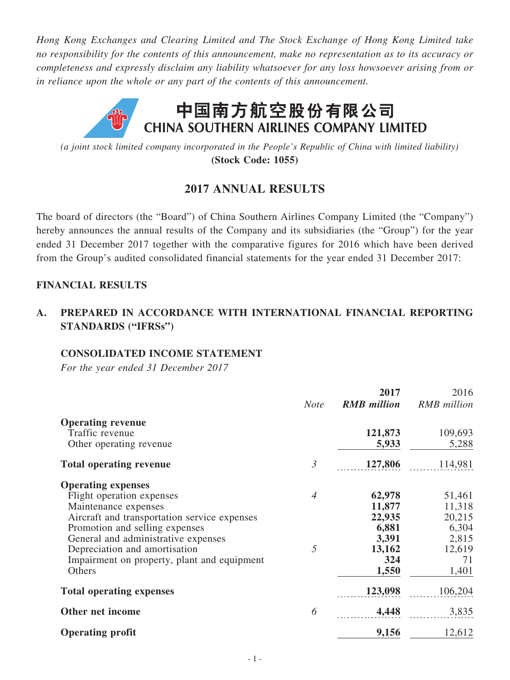*Hong Kong Exchanges and Clearing Limited and The Stock Exchange of Hong Kong Limited take no responsibility for the contents of this announcement, make no representation as to its accuracy or completeness and expressly disclaim any liability whatsoever for any loss howsoever arising from or in reliance upon the whole or any part of the contents of this announcement.*



*(a joint stock limited company incorporated in the People's Republic of China with limited liability)* **(Stock Code: 1055)**

# **2017 ANNUAL RESULTS**

The board of directors (the "Board") of China Southern Airlines Company Limited (the "Company") hereby announces the annual results of the Company and its subsidiaries (the "Group") for the year ended 31 December 2017 together with the comparative figures for 2016 which have been derived from the Group's audited consolidated financial statements for the year ended 31 December 2017:

## **FINANCIAL RESULTS**

# **A. PREPARED IN ACCORDANCE WITH INTERNATIONAL FINANCIAL REPORTING STANDARDS ("IFRSs")**

#### **CONSOLIDATED INCOME STATEMENT**

*For the year ended 31 December 2017*

|                                                                                                                                                                                                                                                                                         | <b>Note</b>         | 2017<br><b>RMB</b> million                                    | 2016<br><b>RMB</b> million                                   |
|-----------------------------------------------------------------------------------------------------------------------------------------------------------------------------------------------------------------------------------------------------------------------------------------|---------------------|---------------------------------------------------------------|--------------------------------------------------------------|
| <b>Operating revenue</b><br>Traffic revenue<br>Other operating revenue                                                                                                                                                                                                                  |                     | 121,873<br>5,933                                              | 109,693<br>5,288                                             |
| <b>Total operating revenue</b>                                                                                                                                                                                                                                                          | $\mathfrak{Z}$      | 127,806                                                       | 114,981                                                      |
| <b>Operating expenses</b><br>Flight operation expenses<br>Maintenance expenses<br>Aircraft and transportation service expenses<br>Promotion and selling expenses<br>General and administrative expenses<br>Depreciation and amortisation<br>Impairment on property, plant and equipment | $\overline{4}$<br>5 | 62,978<br>11,877<br>22,935<br>6,881<br>3,391<br>13,162<br>324 | 51,461<br>11,318<br>20,215<br>6,304<br>2,815<br>12,619<br>71 |
| Others                                                                                                                                                                                                                                                                                  |                     | 1,550                                                         | 1,401                                                        |
| <b>Total operating expenses</b>                                                                                                                                                                                                                                                         |                     | 123,098                                                       | 106,204                                                      |
| Other net income                                                                                                                                                                                                                                                                        | 6                   | 4,448                                                         | 3,835                                                        |
| <b>Operating profit</b>                                                                                                                                                                                                                                                                 |                     | 9,156                                                         | 12,612                                                       |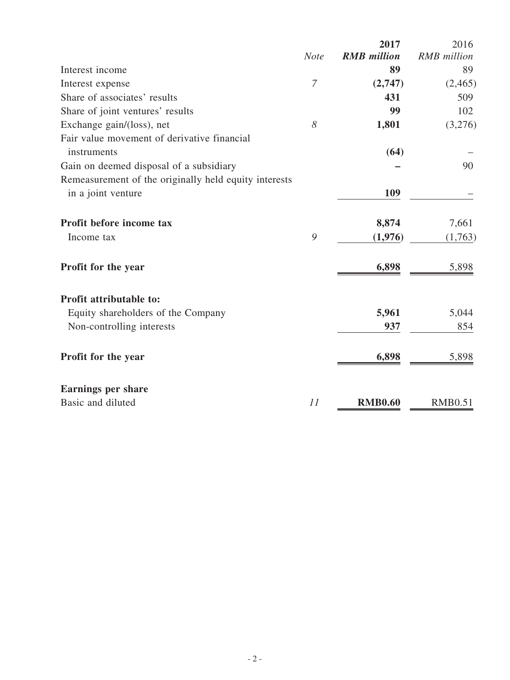|                                                       |             | 2017               | 2016               |
|-------------------------------------------------------|-------------|--------------------|--------------------|
|                                                       | <b>Note</b> | <b>RMB</b> million | <b>RMB</b> million |
| Interest income                                       |             | 89                 | 89                 |
| Interest expense                                      | 7           | (2,747)            | (2,465)            |
| Share of associates' results                          |             | 431                | 509                |
| Share of joint ventures' results                      |             | 99                 | 102                |
| Exchange gain/(loss), net                             | 8           | 1,801              | (3,276)            |
| Fair value movement of derivative financial           |             |                    |                    |
| instruments                                           |             | (64)               |                    |
| Gain on deemed disposal of a subsidiary               |             |                    | 90                 |
| Remeasurement of the originally held equity interests |             |                    |                    |
| in a joint venture                                    |             | 109                |                    |
| Profit before income tax                              |             | 8,874              | 7,661              |
| Income tax                                            | 9           | (1,976)            | (1,763)            |
| Profit for the year                                   |             | 6,898              | 5,898              |
| <b>Profit attributable to:</b>                        |             |                    |                    |
| Equity shareholders of the Company                    |             | 5,961              | 5,044              |
| Non-controlling interests                             |             | 937                | 854                |
| Profit for the year                                   |             | 6,898              | 5,898              |
| <b>Earnings per share</b>                             |             |                    |                    |
| Basic and diluted                                     | 11          | <b>RMB0.60</b>     | <b>RMB0.51</b>     |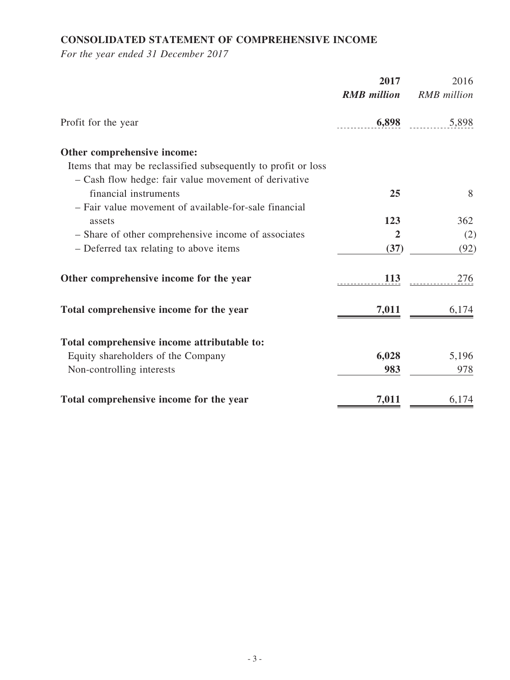# **CONSOLIDATED STATEMENT OF COMPREHENSIVE INCOME**

*For the year ended 31 December 2017*

|                                                               | 2017               | 2016               |
|---------------------------------------------------------------|--------------------|--------------------|
|                                                               | <b>RMB</b> million | <b>RMB</b> million |
| Profit for the year                                           | 6,898              | 5,898              |
| Other comprehensive income:                                   |                    |                    |
| Items that may be reclassified subsequently to profit or loss |                    |                    |
| - Cash flow hedge: fair value movement of derivative          |                    |                    |
| financial instruments                                         | 25                 | 8                  |
| - Fair value movement of available-for-sale financial         |                    |                    |
| assets                                                        | 123                | 362                |
| - Share of other comprehensive income of associates           | $\overline{2}$     | (2)                |
| - Deferred tax relating to above items                        | (37)               | (92)               |
| Other comprehensive income for the year                       | 113                | 276                |
| Total comprehensive income for the year                       | 7,011              | 6,174              |
| Total comprehensive income attributable to:                   |                    |                    |
| Equity shareholders of the Company                            | 6,028              | 5,196              |
| Non-controlling interests                                     | 983                | 978                |
| Total comprehensive income for the year                       | 7,011              | 6,174              |
|                                                               |                    |                    |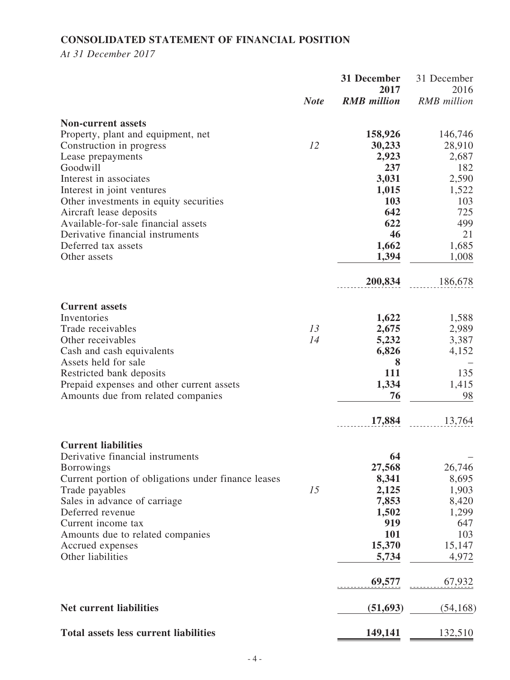# **CONSOLIDATED STATEMENT OF FINANCIAL POSITION**

*At 31 December 2017*

|                                                         | 31 December<br>2017 |                    | 31 December<br>2016 |
|---------------------------------------------------------|---------------------|--------------------|---------------------|
|                                                         | <b>Note</b>         | <b>RMB</b> million | <b>RMB</b> million  |
| <b>Non-current assets</b>                               |                     |                    |                     |
| Property, plant and equipment, net                      |                     | 158,926            | 146,746             |
| Construction in progress                                | 12                  | 30,233             | 28,910              |
| Lease prepayments                                       |                     | 2,923              | 2,687               |
| Goodwill                                                |                     | 237                | 182                 |
| Interest in associates                                  |                     | 3,031              | 2,590               |
| Interest in joint ventures                              |                     | 1,015              | 1,522               |
| Other investments in equity securities                  |                     | 103                | 103                 |
| Aircraft lease deposits                                 |                     | 642                | 725                 |
| Available-for-sale financial assets                     |                     | 622                | 499                 |
| Derivative financial instruments<br>Deferred tax assets |                     | 46<br>1,662        | 21<br>1,685         |
| Other assets                                            |                     | 1,394              | 1,008               |
|                                                         |                     |                    |                     |
|                                                         |                     | 200,834            | 186,678             |
| <b>Current assets</b>                                   |                     |                    |                     |
| Inventories                                             |                     | 1,622              | 1,588               |
| Trade receivables                                       | 13                  | 2,675              | 2,989               |
| Other receivables                                       | 14                  | 5,232              | 3,387               |
| Cash and cash equivalents                               |                     | 6,826              | 4,152               |
| Assets held for sale                                    |                     | 8                  |                     |
| Restricted bank deposits                                |                     | 111                | 135                 |
| Prepaid expenses and other current assets               |                     | 1,334              | 1,415               |
| Amounts due from related companies                      |                     | 76                 | 98                  |
|                                                         |                     | 17,884             | 13,764              |
| <b>Current liabilities</b>                              |                     |                    |                     |
| Derivative financial instruments                        |                     | 64                 |                     |
| <b>Borrowings</b>                                       |                     | 27,568             | 26,746              |
| Current portion of obligations under finance leases     | 15                  | 8,341              | 8,695               |
| Trade payables<br>Sales in advance of carriage          |                     | 2,125<br>7,853     | 1,903<br>8,420      |
| Deferred revenue                                        |                     | 1,502              | 1,299               |
| Current income tax                                      |                     | 919                | 647                 |
| Amounts due to related companies                        |                     | 101                | 103                 |
| Accrued expenses                                        |                     | 15,370             | 15,147              |
| Other liabilities                                       |                     | 5,734              | 4,972               |
|                                                         |                     | 69,577             | 67,932              |
| <b>Net current liabilities</b>                          |                     | (51,693)           | (54, 168)           |
| <b>Total assets less current liabilities</b>            |                     | 149,141            | 132,510             |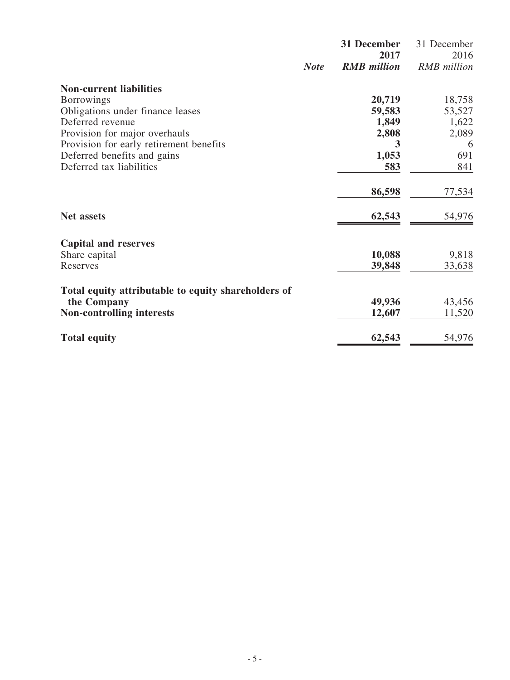|                                                     |             | 31 December                | 31 December                |
|-----------------------------------------------------|-------------|----------------------------|----------------------------|
|                                                     | <b>Note</b> | 2017<br><b>RMB</b> million | 2016<br><b>RMB</b> million |
| <b>Non-current liabilities</b>                      |             |                            |                            |
| <b>Borrowings</b>                                   |             | 20,719                     | 18,758                     |
| Obligations under finance leases                    |             | 59,583                     | 53,527                     |
| Deferred revenue                                    |             | 1,849                      | 1,622                      |
| Provision for major overhauls                       |             | 2,808                      | 2,089                      |
| Provision for early retirement benefits             |             | 3                          | 6                          |
| Deferred benefits and gains                         |             | 1,053                      | 691                        |
| Deferred tax liabilities                            |             | 583                        | 841                        |
|                                                     |             | 86,598                     | 77,534                     |
| <b>Net assets</b>                                   |             | 62,543                     | 54,976                     |
| <b>Capital and reserves</b>                         |             |                            |                            |
| Share capital                                       |             | 10,088                     | 9,818                      |
| Reserves                                            |             | 39,848                     | 33,638                     |
| Total equity attributable to equity shareholders of |             |                            |                            |
| the Company                                         |             | 49,936                     | 43,456                     |
| <b>Non-controlling interests</b>                    |             | 12,607                     | 11,520                     |
| <b>Total equity</b>                                 |             | 62,543                     | 54,976                     |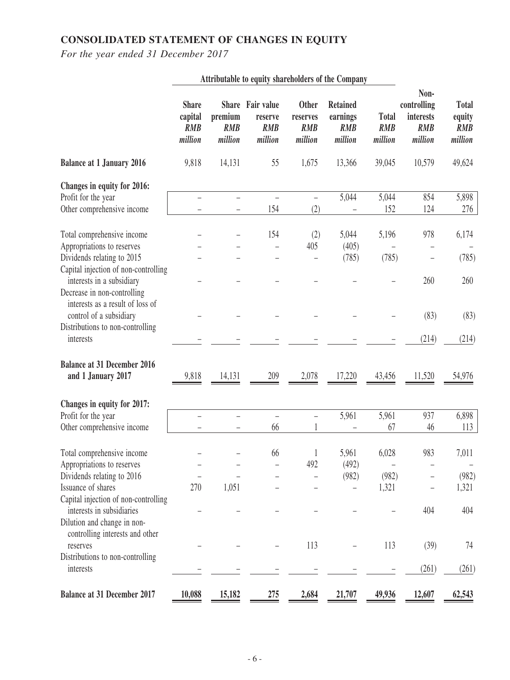# **CONSOLIDATED STATEMENT OF CHANGES IN EQUITY**

*For the year ended 31 December 2017*

|                                                                                                                                             |                                                  |                                      | Attributable to equity shareholders of the Company   |                                                   |                                                      |                                       |                                                           |                                                 |
|---------------------------------------------------------------------------------------------------------------------------------------------|--------------------------------------------------|--------------------------------------|------------------------------------------------------|---------------------------------------------------|------------------------------------------------------|---------------------------------------|-----------------------------------------------------------|-------------------------------------------------|
|                                                                                                                                             | <b>Share</b><br>capital<br><b>RMB</b><br>million | premium<br><b>RMB</b><br>million     | Share Fair value<br>reserve<br><b>RMB</b><br>million | <b>Other</b><br>reserves<br><b>RMB</b><br>million | <b>Retained</b><br>earnings<br><b>RMB</b><br>million | <b>Total</b><br><b>RMB</b><br>million | Non-<br>controlling<br>interests<br><b>RMB</b><br>million | <b>Total</b><br>equity<br><b>RMB</b><br>million |
| <b>Balance at 1 January 2016</b>                                                                                                            | 9,818                                            | 14,131                               | 55                                                   | 1,675                                             | 13,366                                               | 39,045                                | 10,579                                                    | 49,624                                          |
| Changes in equity for 2016:<br>Profit for the year<br>Other comprehensive income                                                            |                                                  | $\equiv$<br>$\overline{\phantom{0}}$ | $\overline{\phantom{0}}$<br>154                      | $\equiv$<br>(2)                                   | 5,044                                                | 5,044<br>152                          | 854<br>124                                                | 5,898<br>276                                    |
| Total comprehensive income<br>Appropriations to reserves                                                                                    |                                                  |                                      | 154                                                  | (2)<br>405                                        | 5,044<br>(405)                                       | 5,196                                 | 978                                                       | 6,174                                           |
| Dividends relating to 2015<br>Capital injection of non-controlling<br>interests in a subsidiary                                             |                                                  |                                      |                                                      | $\overline{\phantom{0}}$                          | (785)                                                | (785)                                 | 260                                                       | (785)<br>260                                    |
| Decrease in non-controlling<br>interests as a result of loss of<br>control of a subsidiary<br>Distributions to non-controlling<br>interests |                                                  |                                      |                                                      |                                                   |                                                      |                                       | (83)<br>(214)                                             | (83)<br>(214)                                   |
| <b>Balance at 31 December 2016</b><br>and 1 January 2017                                                                                    | 9,818                                            | 14,131                               | 209                                                  | 2,078                                             | 17,220                                               | 43,456                                | 11,520                                                    | 54,976                                          |
| Changes in equity for 2017:                                                                                                                 |                                                  |                                      |                                                      |                                                   |                                                      |                                       |                                                           |                                                 |
| Profit for the year<br>Other comprehensive income                                                                                           |                                                  | $\overline{\phantom{0}}$             | $\overline{\phantom{0}}$<br>66                       | $\equiv$                                          | 5,961                                                | 5,961<br>67                           | 937<br>46                                                 | 6,898<br>113                                    |
| Total comprehensive income<br>Appropriations to reserves<br>Dividends relating to 2016<br>Issuance of shares                                |                                                  |                                      | 66                                                   | 1<br>492                                          | 5,961<br>(492)<br>(982)                              | 6,028<br>$\qquad \qquad -$<br>(982)   | 983                                                       | 7,011<br>$\overline{\phantom{a}}$<br>(982)      |
| Capital injection of non-controlling<br>interests in subsidiaries<br>Dilution and change in non-                                            | 270                                              | 1,051                                |                                                      |                                                   |                                                      | 1,321                                 | 404                                                       | 1,321<br>404                                    |
| controlling interests and other<br>reserves<br>Distributions to non-controlling                                                             |                                                  |                                      |                                                      | 113                                               |                                                      | 113                                   | (39)                                                      | 74                                              |
| interests<br><b>Balance at 31 December 2017</b>                                                                                             | 10,088                                           | 15,182                               | 275                                                  | 2,684                                             | 21,707                                               | 49,936                                | (261)<br>12,607                                           | (261)<br>62,543                                 |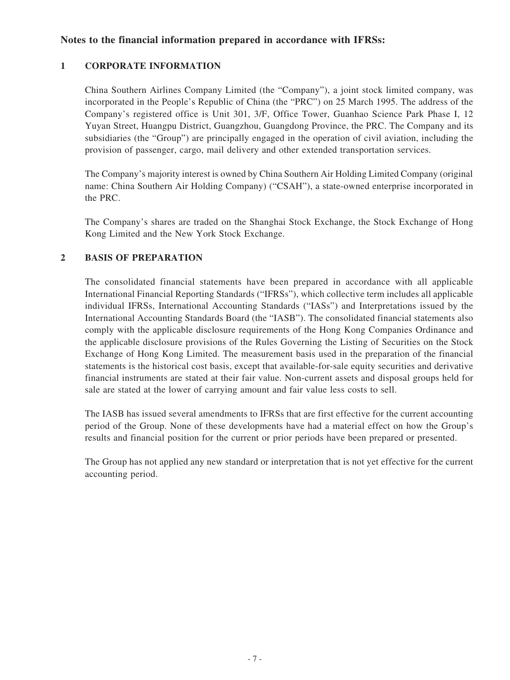#### **Notes to the financial information prepared in accordance with IFRSs:**

#### **1 CORPORATE INFORMATION**

China Southern Airlines Company Limited (the "Company"), a joint stock limited company, was incorporated in the People's Republic of China (the "PRC") on 25 March 1995. The address of the Company's registered office is Unit 301, 3/F, Office Tower, Guanhao Science Park Phase I, 12 Yuyan Street, Huangpu District, Guangzhou, Guangdong Province, the PRC. The Company and its subsidiaries (the "Group") are principally engaged in the operation of civil aviation, including the provision of passenger, cargo, mail delivery and other extended transportation services.

The Company's majority interest is owned by China Southern Air Holding Limited Company (original name: China Southern Air Holding Company) ("CSAH"), a state-owned enterprise incorporated in the PRC.

The Company's shares are traded on the Shanghai Stock Exchange, the Stock Exchange of Hong Kong Limited and the New York Stock Exchange.

#### **2 BASIS OF PREPARATION**

The consolidated financial statements have been prepared in accordance with all applicable International Financial Reporting Standards ("IFRSs"), which collective term includes all applicable individual IFRSs, International Accounting Standards ("IASs") and Interpretations issued by the International Accounting Standards Board (the "IASB"). The consolidated financial statements also comply with the applicable disclosure requirements of the Hong Kong Companies Ordinance and the applicable disclosure provisions of the Rules Governing the Listing of Securities on the Stock Exchange of Hong Kong Limited. The measurement basis used in the preparation of the financial statements is the historical cost basis, except that available-for-sale equity securities and derivative financial instruments are stated at their fair value. Non-current assets and disposal groups held for sale are stated at the lower of carrying amount and fair value less costs to sell.

The IASB has issued several amendments to IFRSs that are first effective for the current accounting period of the Group. None of these developments have had a material effect on how the Group's results and financial position for the current or prior periods have been prepared or presented.

The Group has not applied any new standard or interpretation that is not yet effective for the current accounting period.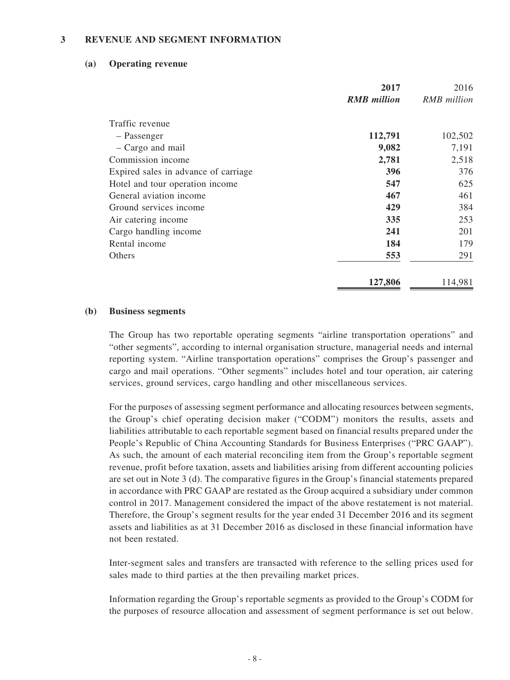#### **3 REVENUE AND SEGMENT INFORMATION**

#### **(a) Operating revenue**

|                                      | 2017               | 2016               |
|--------------------------------------|--------------------|--------------------|
|                                      | <b>RMB</b> million | <b>RMB</b> million |
| Traffic revenue                      |                    |                    |
| - Passenger                          | 112,791            | 102,502            |
| - Cargo and mail                     | 9,082              | 7,191              |
| Commission income                    | 2,781              | 2,518              |
| Expired sales in advance of carriage | 396                | 376                |
| Hotel and tour operation income      | 547                | 625                |
| General aviation income              | 467                | 461                |
| Ground services income               | 429                | 384                |
| Air catering income                  | 335                | 253                |
| Cargo handling income                | 241                | 201                |
| Rental income                        | 184                | 179                |
| Others                               | 553                | 291                |
|                                      | 127,806            | 114,981            |

#### **(b) Business segments**

The Group has two reportable operating segments "airline transportation operations" and "other segments", according to internal organisation structure, managerial needs and internal reporting system. "Airline transportation operations" comprises the Group's passenger and cargo and mail operations. "Other segments" includes hotel and tour operation, air catering services, ground services, cargo handling and other miscellaneous services.

For the purposes of assessing segment performance and allocating resources between segments, the Group's chief operating decision maker ("CODM") monitors the results, assets and liabilities attributable to each reportable segment based on financial results prepared under the People's Republic of China Accounting Standards for Business Enterprises ("PRC GAAP"). As such, the amount of each material reconciling item from the Group's reportable segment revenue, profit before taxation, assets and liabilities arising from different accounting policies are set out in Note 3 (d). The comparative figures in the Group's financial statements prepared in accordance with PRC GAAP are restated as the Group acquired a subsidiary under common control in 2017. Management considered the impact of the above restatement is not material. Therefore, the Group's segment results for the year ended 31 December 2016 and its segment assets and liabilities as at 31 December 2016 as disclosed in these financial information have not been restated.

Inter-segment sales and transfers are transacted with reference to the selling prices used for sales made to third parties at the then prevailing market prices.

Information regarding the Group's reportable segments as provided to the Group's CODM for the purposes of resource allocation and assessment of segment performance is set out below.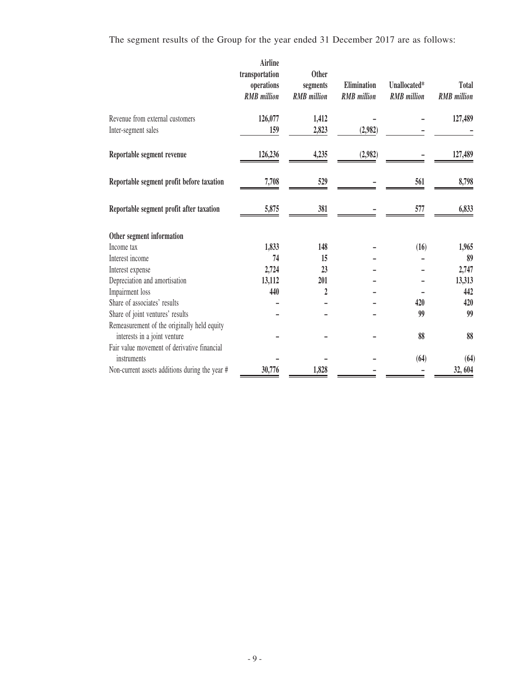The segment results of the Group for the year ended 31 December 2017 are as follows:

|                                                        | <b>Airline</b><br>transportation<br>operations<br><b>RMB</b> million | <b>Other</b><br>segments<br><b>RMB</b> million | <b>Elimination</b><br><b>RMB</b> million | Unallocated*<br><b>RMB</b> million | <b>Total</b><br><b>RMB</b> million |
|--------------------------------------------------------|----------------------------------------------------------------------|------------------------------------------------|------------------------------------------|------------------------------------|------------------------------------|
| Revenue from external customers<br>Inter-segment sales | 126,077<br>159                                                       | 1,412<br>2,823                                 | (2,982)                                  |                                    | 127,489                            |
| Reportable segment revenue                             | 126,236                                                              | 4,235                                          | (2,982)                                  |                                    | 127,489                            |
| Reportable segment profit before taxation              | 7,708                                                                | 529                                            |                                          | 561                                | 8,798                              |
| Reportable segment profit after taxation               | 5,875                                                                | 381                                            |                                          | 577                                | 6,833                              |
| Other segment information                              |                                                                      |                                                |                                          |                                    |                                    |
| Income tax                                             | 1,833                                                                | 148                                            |                                          | (16)                               | 1,965                              |
| Interest income                                        | 74                                                                   | 15                                             |                                          |                                    | 89                                 |
| Interest expense                                       | 2,724                                                                | 23                                             |                                          |                                    | 2,747                              |
| Depreciation and amortisation                          | 13,112                                                               | 201                                            |                                          |                                    | 13,313                             |
| Impairment loss                                        | 440                                                                  | $\overline{2}$                                 |                                          |                                    | 442                                |
| Share of associates' results                           |                                                                      |                                                |                                          | 420                                | 420                                |
| Share of joint ventures' results                       |                                                                      |                                                |                                          | 99                                 | 99                                 |
| Remeasurement of the originally held equity            |                                                                      |                                                |                                          |                                    |                                    |
| interests in a joint venture                           |                                                                      |                                                |                                          | 88                                 | 88                                 |
| Fair value movement of derivative financial            |                                                                      |                                                |                                          |                                    |                                    |
| instruments                                            |                                                                      |                                                |                                          | (64)                               | (64)                               |
| Non-current assets additions during the year #         | 30,776                                                               | 1,828                                          |                                          |                                    | 32, 604                            |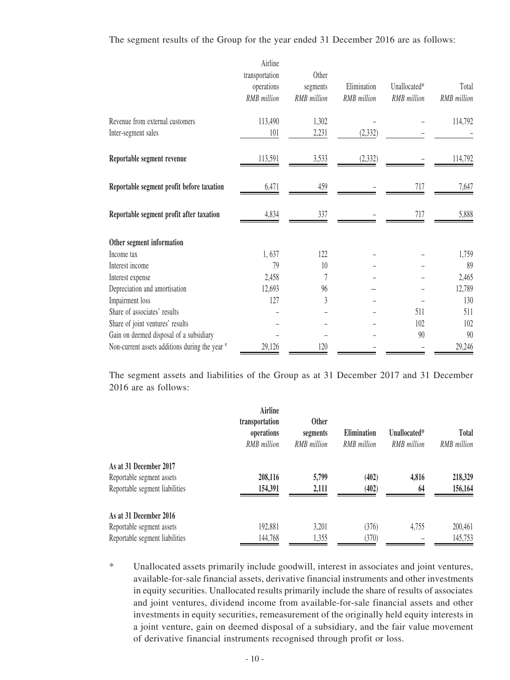#### The segment results of the Group for the year ended 31 December 2016 are as follows:

|                                                        | Airline<br>transportation<br>operations<br>RMB million | Other<br>segments<br><b>RMB</b> million | Elimination<br>RMB million | Unallocated*<br>RMB million | Total<br><b>RMB</b> million |
|--------------------------------------------------------|--------------------------------------------------------|-----------------------------------------|----------------------------|-----------------------------|-----------------------------|
| Revenue from external customers<br>Inter-segment sales | 113,490<br>101                                         | 1,302<br>2,231                          | (2, 332)                   |                             | 114,792                     |
| Reportable segment revenue                             | 113,591                                                | 3,533                                   | (2, 332)                   |                             | 114,792                     |
| Reportable segment profit before taxation              | 6,471                                                  | 459                                     |                            | 717                         | 7,647                       |
| Reportable segment profit after taxation               | 4,834                                                  | 337                                     |                            | 717                         | 5,888                       |
| Other segment information                              |                                                        |                                         |                            |                             |                             |
| Income tax                                             | 1,637                                                  | 122                                     |                            |                             | 1,759                       |
| Interest income                                        | 79                                                     | 10                                      |                            |                             | 89                          |
| Interest expense                                       | 2,458                                                  |                                         |                            |                             | 2,465                       |
| Depreciation and amortisation                          | 12,693                                                 | 96                                      |                            |                             | 12,789                      |
| Impairment loss                                        | 127                                                    | 3                                       |                            |                             | 130                         |
| Share of associates' results                           |                                                        |                                         |                            | 511                         | 511                         |
| Share of joint ventures' results                       |                                                        |                                         |                            | 102                         | 102                         |
| Gain on deemed disposal of a subsidiary                |                                                        |                                         |                            | 90                          | 90                          |
| Non-current assets additions during the year #         | 29,126                                                 | 120                                     |                            |                             | 29,246                      |

The segment assets and liabilities of the Group as at 31 December 2017 and 31 December 2016 are as follows:

|                                | Airline<br>transportation<br>operations<br>RMB million | <b>Other</b><br>segments<br><b>RMB</b> million | <b>Elimination</b><br><b>RMB</b> million | Unallocated*<br><b>RMB</b> million | <b>Total</b><br>RMB million |
|--------------------------------|--------------------------------------------------------|------------------------------------------------|------------------------------------------|------------------------------------|-----------------------------|
| As at 31 December 2017         |                                                        |                                                |                                          |                                    |                             |
| Reportable segment assets      | 208,116                                                | 5,799                                          | (402)                                    | 4,816                              | 218,329                     |
| Reportable segment liabilities | 154,391                                                | 2,111                                          | (402)                                    | 64                                 | 156,164                     |
| As at 31 December 2016         |                                                        |                                                |                                          |                                    |                             |
| Reportable segment assets      | 192,881                                                | 3,201                                          | (376)                                    | 4,755                              | 200,461                     |
| Reportable segment liabilities | 144,768                                                | 1,355                                          | (370)                                    |                                    | 145,753                     |

\* Unallocated assets primarily include goodwill, interest in associates and joint ventures, available-for-sale financial assets, derivative financial instruments and other investments in equity securities. Unallocated results primarily include the share of results of associates and joint ventures, dividend income from available-for-sale financial assets and other investments in equity securities, remeasurement of the originally held equity interests in a joint venture, gain on deemed disposal of a subsidiary, and the fair value movement of derivative financial instruments recognised through profit or loss.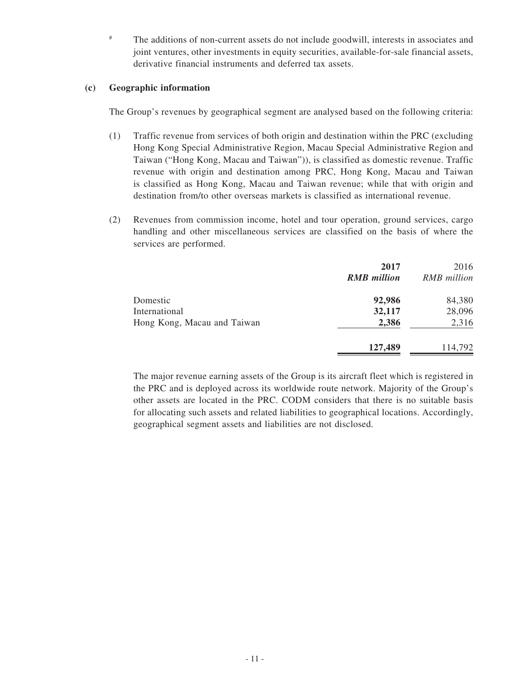# The additions of non-current assets do not include goodwill, interests in associates and joint ventures, other investments in equity securities, available-for-sale financial assets, derivative financial instruments and deferred tax assets.

#### **(c) Geographic information**

The Group's revenues by geographical segment are analysed based on the following criteria:

- (1) Traffic revenue from services of both origin and destination within the PRC (excluding Hong Kong Special Administrative Region, Macau Special Administrative Region and Taiwan ("Hong Kong, Macau and Taiwan")), is classified as domestic revenue. Traffic revenue with origin and destination among PRC, Hong Kong, Macau and Taiwan is classified as Hong Kong, Macau and Taiwan revenue; while that with origin and destination from/to other overseas markets is classified as international revenue.
- (2) Revenues from commission income, hotel and tour operation, ground services, cargo handling and other miscellaneous services are classified on the basis of where the services are performed.

|                             | 2017<br><b>RMB</b> million | 2016<br>RMB million |
|-----------------------------|----------------------------|---------------------|
| Domestic                    | 92,986                     | 84,380              |
| International               | 32,117                     | 28,096              |
| Hong Kong, Macau and Taiwan | 2,386                      | 2,316               |
|                             | 127,489                    | 114,792             |

The major revenue earning assets of the Group is its aircraft fleet which is registered in the PRC and is deployed across its worldwide route network. Majority of the Group's other assets are located in the PRC. CODM considers that there is no suitable basis for allocating such assets and related liabilities to geographical locations. Accordingly, geographical segment assets and liabilities are not disclosed.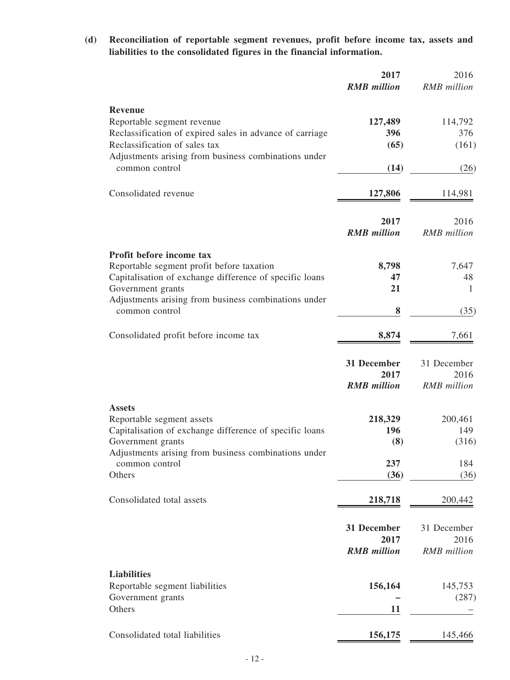**(d) Reconciliation of reportable segment revenues, profit before income tax, assets and liabilities to the consolidated figures in the financial information.**

|                                                                                                                            | 2017<br><b>RMB</b> million                | 2016<br>RMB million                       |
|----------------------------------------------------------------------------------------------------------------------------|-------------------------------------------|-------------------------------------------|
| <b>Revenue</b><br>Reportable segment revenue<br>Reclassification of expired sales in advance of carriage                   | 127,489<br>396                            | 114,792<br>376                            |
| Reclassification of sales tax<br>Adjustments arising from business combinations under<br>common control                    | (65)<br>(14)                              | (161)<br>(26)                             |
| Consolidated revenue                                                                                                       | 127,806                                   | 114,981                                   |
|                                                                                                                            | 2017<br><b>RMB</b> million                | 2016<br><b>RMB</b> million                |
| Profit before income tax                                                                                                   |                                           |                                           |
| Reportable segment profit before taxation<br>Capitalisation of exchange difference of specific loans                       | 8,798<br>47                               | 7,647<br>48                               |
| Government grants                                                                                                          | 21                                        | $\mathbf{1}$                              |
| Adjustments arising from business combinations under<br>common control                                                     | 8                                         | (35)                                      |
| Consolidated profit before income tax                                                                                      | 8,874                                     | 7,661                                     |
|                                                                                                                            | 31 December<br>2017<br><b>RMB</b> million | 31 December<br>2016<br><b>RMB</b> million |
| <b>Assets</b><br>Reportable segment assets<br>Capitalisation of exchange difference of specific loans<br>Government grants | 218,329<br>196<br>(8)                     | 200,461<br>149<br>(316)                   |
| Adjustments arising from business combinations under<br>common control                                                     | 237                                       | 184                                       |
| Others                                                                                                                     | (36)                                      | (36)                                      |
| Consolidated total assets                                                                                                  | 218,718                                   | 200,442                                   |
|                                                                                                                            | 31 December<br>2017<br><b>RMB</b> million | 31 December<br>2016<br><b>RMB</b> million |
| <b>Liabilities</b><br>Reportable segment liabilities<br>Government grants<br>Others                                        | 156,164<br>11                             | 145,753<br>(287)                          |
| Consolidated total liabilities                                                                                             | 156,175                                   | 145,466                                   |
|                                                                                                                            |                                           |                                           |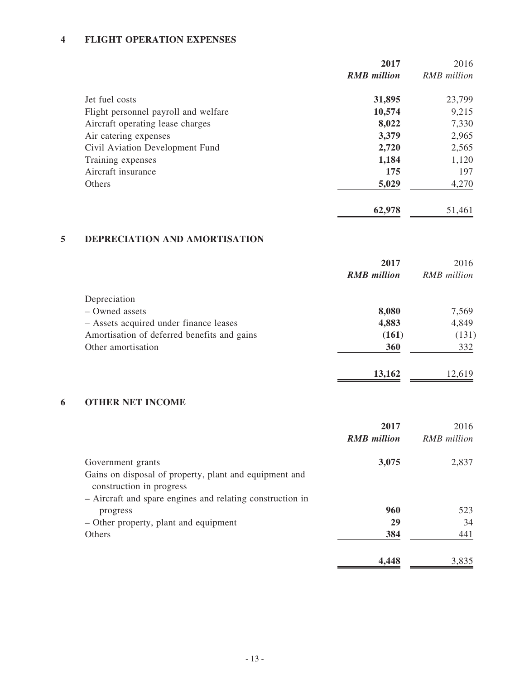# **4 FLIGHT OPERATION EXPENSES**

|                                      | 2017               | 2016               |
|--------------------------------------|--------------------|--------------------|
|                                      | <b>RMB</b> million | <b>RMB</b> million |
| Jet fuel costs                       | 31,895             | 23,799             |
| Flight personnel payroll and welfare | 10,574             | 9,215              |
| Aircraft operating lease charges     | 8,022              | 7,330              |
| Air catering expenses                | 3,379              | 2,965              |
| Civil Aviation Development Fund      | 2,720              | 2,565              |
| Training expenses                    | 1,184              | 1,120              |
| Aircraft insurance                   | 175                | 197                |
| Others                               | 5,029              | 4,270              |
|                                      | 62,978             | 51,461             |

# **5 DEPRECIATION AND AMORTISATION**

|                                             | 2017               | 2016        |
|---------------------------------------------|--------------------|-------------|
|                                             | <b>RMB</b> million | RMB million |
| Depreciation                                |                    |             |
| - Owned assets                              | 8,080              | 7,569       |
| - Assets acquired under finance leases      | 4,883              | 4,849       |
| Amortisation of deferred benefits and gains | (161)              | (131)       |
| Other amortisation                          | 360                | 332         |
|                                             | 13,162             | 12,619      |

# **6 OTHER NET INCOME**

|                                                           | 2017               | 2016               |
|-----------------------------------------------------------|--------------------|--------------------|
|                                                           | <b>RMB</b> million | <b>RMB</b> million |
| Government grants                                         | 3,075              | 2,837              |
| Gains on disposal of property, plant and equipment and    |                    |                    |
| construction in progress                                  |                    |                    |
| - Aircraft and spare engines and relating construction in |                    |                    |
| progress                                                  | 960                | 523                |
| – Other property, plant and equipment                     | 29                 | 34                 |
| Others                                                    | 384                | 441                |
|                                                           | 4,448              | 3,835              |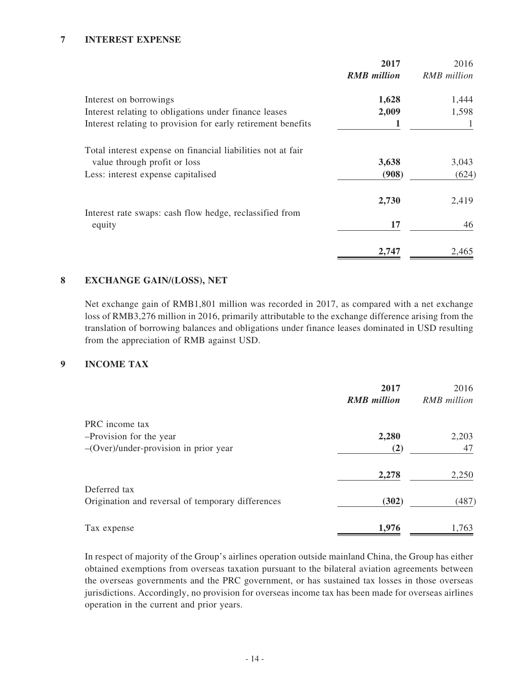#### **7 INTEREST EXPENSE**

|                                                              | 2017               | 2016               |
|--------------------------------------------------------------|--------------------|--------------------|
|                                                              | <b>RMB</b> million | <b>RMB</b> million |
| Interest on borrowings                                       | 1,628              | 1,444              |
| Interest relating to obligations under finance leases        | 2,009              | 1,598              |
| Interest relating to provision for early retirement benefits |                    |                    |
| Total interest expense on financial liabilities not at fair  |                    |                    |
| value through profit or loss                                 | 3,638              | 3,043              |
| Less: interest expense capitalised                           | (908)              | (624)              |
|                                                              | 2,730              | 2,419              |
| Interest rate swaps: cash flow hedge, reclassified from      |                    |                    |
| equity                                                       | 17                 | 46                 |
|                                                              | 2,747              | 2,465              |

#### **8 EXCHANGE GAIN/(LOSS), NET**

Net exchange gain of RMB1,801 million was recorded in 2017, as compared with a net exchange loss of RMB3,276 million in 2016, primarily attributable to the exchange difference arising from the translation of borrowing balances and obligations under finance leases dominated in USD resulting from the appreciation of RMB against USD.

#### **9 INCOME TAX**

|                                                   | 2017               | 2016        |
|---------------------------------------------------|--------------------|-------------|
|                                                   | <b>RMB</b> million | RMB million |
| PRC income tax                                    |                    |             |
| -Provision for the year                           | 2,280              | 2,203       |
| $-(\text{Over})$ /under-provision in prior year   | (2)                | 47          |
|                                                   | 2,278              | 2,250       |
| Deferred tax                                      |                    |             |
| Origination and reversal of temporary differences | (302)              | (487)       |
| Tax expense                                       | 1,976              | 1,763       |

In respect of majority of the Group's airlines operation outside mainland China, the Group has either obtained exemptions from overseas taxation pursuant to the bilateral aviation agreements between the overseas governments and the PRC government, or has sustained tax losses in those overseas jurisdictions. Accordingly, no provision for overseas income tax has been made for overseas airlines operation in the current and prior years.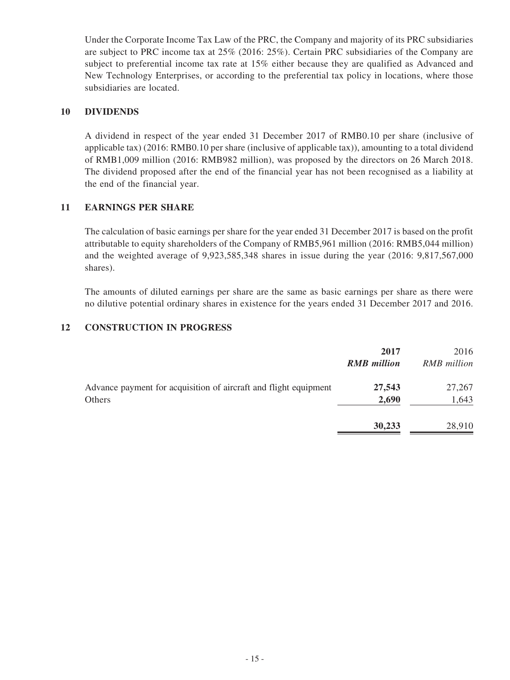Under the Corporate Income Tax Law of the PRC, the Company and majority of its PRC subsidiaries are subject to PRC income tax at 25% (2016: 25%). Certain PRC subsidiaries of the Company are subject to preferential income tax rate at 15% either because they are qualified as Advanced and New Technology Enterprises, or according to the preferential tax policy in locations, where those subsidiaries are located.

#### **10 DIVIDENDS**

A dividend in respect of the year ended 31 December 2017 of RMB0.10 per share (inclusive of applicable tax) (2016: RMB0.10 per share (inclusive of applicable tax)), amounting to a total dividend of RMB1,009 million (2016: RMB982 million), was proposed by the directors on 26 March 2018. The dividend proposed after the end of the financial year has not been recognised as a liability at the end of the financial year.

#### **11 EARNINGS PER SHARE**

The calculation of basic earnings per share for the year ended 31 December 2017 is based on the profit attributable to equity shareholders of the Company of RMB5,961 million (2016: RMB5,044 million) and the weighted average of 9,923,585,348 shares in issue during the year (2016: 9,817,567,000 shares).

The amounts of diluted earnings per share are the same as basic earnings per share as there were no dilutive potential ordinary shares in existence for the years ended 31 December 2017 and 2016.

#### **12 CONSTRUCTION IN PROGRESS**

|                                                                  | 2017<br><b>RMB</b> million | 2016<br><b>RMB</b> million |
|------------------------------------------------------------------|----------------------------|----------------------------|
| Advance payment for acquisition of aircraft and flight equipment | 27,543                     | 27,267                     |
| Others                                                           | 2,690                      | 1,643                      |
|                                                                  | 30,233                     | 28,910                     |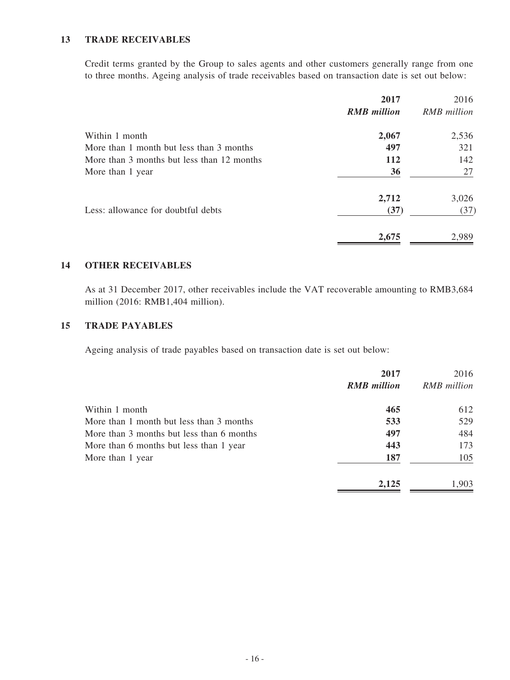#### **13 TRADE RECEIVABLES**

Credit terms granted by the Group to sales agents and other customers generally range from one to three months. Ageing analysis of trade receivables based on transaction date is set out below:

|                                            | 2017               | 2016        |
|--------------------------------------------|--------------------|-------------|
|                                            | <b>RMB</b> million | RMB million |
| Within 1 month                             | 2,067              | 2,536       |
| More than 1 month but less than 3 months   | 497                | 321         |
| More than 3 months but less than 12 months | <b>112</b>         | 142         |
| More than 1 year                           | 36                 | 27          |
|                                            | 2,712              | 3,026       |
| Less: allowance for doubtful debts         | (37)               | (37)        |
|                                            | 2,675              | 2,989       |

#### **14 OTHER RECEIVABLES**

As at 31 December 2017, other receivables include the VAT recoverable amounting to RMB3,684 million (2016: RMB1,404 million).

#### **15 TRADE PAYABLES**

Ageing analysis of trade payables based on transaction date is set out below:

|                                           | 2017<br><b>RMB</b> million | 2016<br>RMB million |
|-------------------------------------------|----------------------------|---------------------|
| Within 1 month                            | 465                        | 612                 |
| More than 1 month but less than 3 months  | 533                        | 529                 |
| More than 3 months but less than 6 months | 497                        | 484                 |
| More than 6 months but less than 1 year   | 443                        | 173                 |
| More than 1 year                          | 187                        | 105                 |
|                                           | 2,125                      | 1,903               |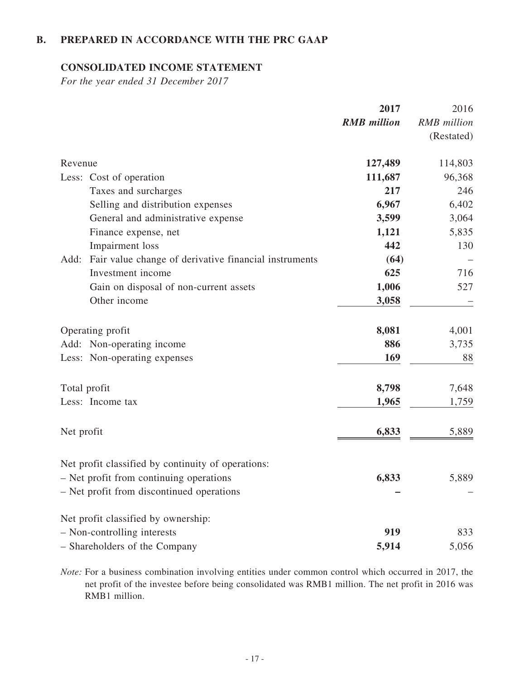# **B. PREPARED IN ACCORDANCE WITH THE PRC GAAP**

#### **CONSOLIDATED INCOME STATEMENT**

*For the year ended 31 December 2017*

|                                                               | 2017               | 2016               |
|---------------------------------------------------------------|--------------------|--------------------|
|                                                               | <b>RMB</b> million | <b>RMB</b> million |
|                                                               |                    | (Restated)         |
| Revenue                                                       | 127,489            | 114,803            |
| Less: Cost of operation                                       | 111,687            | 96,368             |
| Taxes and surcharges                                          | 217                | 246                |
| Selling and distribution expenses                             | 6,967              | 6,402              |
| General and administrative expense                            | 3,599              | 3,064              |
| Finance expense, net                                          | 1,121              | 5,835              |
| Impairment loss                                               | 442                | 130                |
| Add:<br>Fair value change of derivative financial instruments | (64)               |                    |
| Investment income                                             | 625                | 716                |
| Gain on disposal of non-current assets                        | 1,006              | 527                |
| Other income                                                  | 3,058              |                    |
| Operating profit                                              | 8,081              | 4,001              |
| Add: Non-operating income                                     | 886                | 3,735              |
| Less: Non-operating expenses                                  | 169                | 88                 |
| Total profit                                                  | 8,798              | 7,648              |
| Less: Income tax                                              | 1,965              | 1,759              |
| Net profit                                                    | 6,833              | 5,889              |
| Net profit classified by continuity of operations:            |                    |                    |
| - Net profit from continuing operations                       | 6,833              | 5,889              |
| - Net profit from discontinued operations                     |                    |                    |
| Net profit classified by ownership:                           |                    |                    |
| - Non-controlling interests                                   | 919                | 833                |
| - Shareholders of the Company                                 | 5,914              | 5,056              |

*Note:* For a business combination involving entities under common control which occurred in 2017, the net profit of the investee before being consolidated was RMB1 million. The net profit in 2016 was RMB1 million.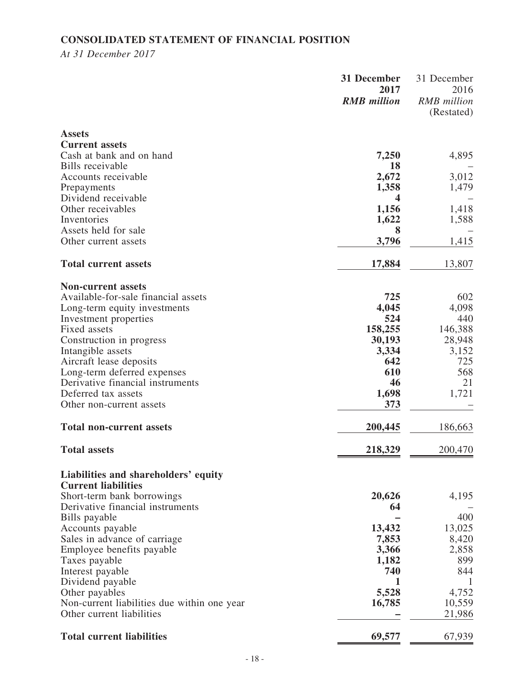# **CONSOLIDATED STATEMENT OF FINANCIAL POSITION**

*At 31 December 2017*

|                                                                    | 31 December<br>2017<br><b>RMB</b> million | 31 December<br>2016<br><b>RMB</b> million<br>(Restated) |
|--------------------------------------------------------------------|-------------------------------------------|---------------------------------------------------------|
| <b>Assets</b><br><b>Current assets</b>                             |                                           |                                                         |
| Cash at bank and on hand                                           | 7,250                                     | 4,895                                                   |
| Bills receivable                                                   | <b>18</b>                                 |                                                         |
| Accounts receivable<br>Prepayments                                 | 2,672<br>1,358                            | 3,012<br>1,479                                          |
| Dividend receivable                                                | 4                                         |                                                         |
| Other receivables<br>Inventories                                   | 1,156<br>1,622                            | 1,418<br>1,588                                          |
| Assets held for sale                                               | 8                                         |                                                         |
| Other current assets                                               | 3,796                                     | 1,415                                                   |
| <b>Total current assets</b>                                        | 17,884                                    | 13,807                                                  |
| <b>Non-current assets</b>                                          |                                           |                                                         |
| Available-for-sale financial assets                                | 725                                       | 602                                                     |
| Long-term equity investments<br>Investment properties              | 4,045<br>524                              | 4,098<br>440                                            |
| Fixed assets                                                       | 158,255                                   | 146,388                                                 |
| Construction in progress                                           | 30,193                                    | 28,948                                                  |
| Intangible assets<br>Aircraft lease deposits                       | 3,334<br>642                              | 3,152<br>725                                            |
| Long-term deferred expenses                                        | 610                                       | 568                                                     |
| Derivative financial instruments                                   | 46                                        | 21                                                      |
| Deferred tax assets<br>Other non-current assets                    | 1,698<br>373                              | 1,721                                                   |
|                                                                    |                                           |                                                         |
| <b>Total non-current assets</b>                                    | 200,445                                   | 186,663                                                 |
| <b>Total assets</b>                                                | 218,329                                   | 200,470                                                 |
| Liabilities and shareholders' equity<br><b>Current liabilities</b> |                                           |                                                         |
| Short-term bank borrowings                                         | 20,626                                    | 4,195                                                   |
| Derivative financial instruments                                   | 64                                        |                                                         |
| Bills payable                                                      |                                           | 400                                                     |
| Accounts payable<br>Sales in advance of carriage                   | 13,432<br>7,853                           | 13,025<br>8,420                                         |
| Employee benefits payable                                          | 3,366                                     | 2,858                                                   |
| Taxes payable                                                      | 1,182                                     | 899                                                     |
| Interest payable<br>Dividend payable                               | 740<br>1                                  | 844<br>-1                                               |
| Other payables                                                     | 5,528                                     | 4,752                                                   |
| Non-current liabilities due within one year                        | 16,785                                    | 10,559                                                  |
| Other current liabilities                                          |                                           | 21,986                                                  |
| <b>Total current liabilities</b>                                   | 69,577                                    | 67,939                                                  |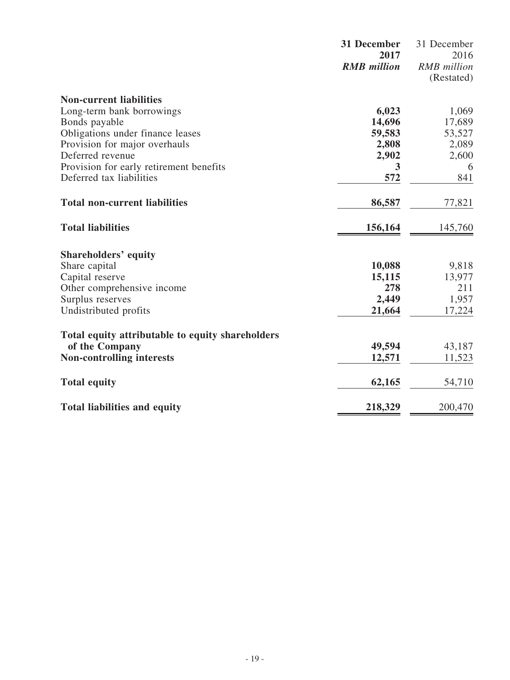|                                                  | 31 December<br>2017 | 31 December<br>2016 |
|--------------------------------------------------|---------------------|---------------------|
|                                                  | <b>RMB</b> million  | <b>RMB</b> million  |
|                                                  |                     | (Restated)          |
| <b>Non-current liabilities</b>                   |                     |                     |
| Long-term bank borrowings                        | 6,023               | 1,069               |
| Bonds payable                                    | 14,696              | 17,689              |
| Obligations under finance leases                 | 59,583              | 53,527              |
| Provision for major overhauls                    | 2,808               | 2,089               |
| Deferred revenue                                 | 2,902               | 2,600               |
| Provision for early retirement benefits          | 3                   | 6                   |
| Deferred tax liabilities                         | 572                 | 841                 |
| <b>Total non-current liabilities</b>             | 86,587              | 77,821              |
| <b>Total liabilities</b>                         | 156,164             | 145,760             |
| <b>Shareholders' equity</b>                      |                     |                     |
| Share capital                                    | 10,088              | 9,818               |
| Capital reserve                                  | 15,115              | 13,977              |
| Other comprehensive income                       | 278                 | 211                 |
| Surplus reserves                                 | 2,449               | 1,957               |
| Undistributed profits                            | 21,664              | 17,224              |
| Total equity attributable to equity shareholders |                     |                     |
| of the Company                                   | 49,594              | 43,187              |
| <b>Non-controlling interests</b>                 | 12,571              | 11,523              |
| <b>Total equity</b>                              | 62,165              | 54,710              |
| <b>Total liabilities and equity</b>              | 218,329             | 200,470             |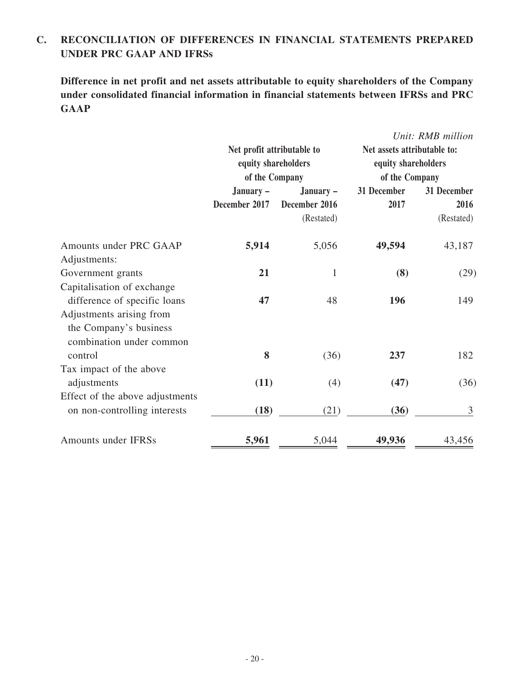# **C. RECONCILIATION OF DIFFERENCES IN FINANCIAL STATEMENTS PREPARED UNDER PRC GAAP AND IFRSs**

**Difference in net profit and net assets attributable to equity shareholders of the Company under consolidated financial information in financial statements between IFRSs and PRC GAAP**

|                                 |                                                   |               |                                                    | Unit: RMB million |
|---------------------------------|---------------------------------------------------|---------------|----------------------------------------------------|-------------------|
|                                 | Net profit attributable to<br>equity shareholders |               | Net assets attributable to:<br>equity shareholders |                   |
|                                 | of the Company                                    |               | of the Company                                     |                   |
|                                 | January –                                         | January –     | 31 December                                        | 31 December       |
|                                 | December 2017                                     | December 2016 | 2017                                               | 2016              |
|                                 |                                                   | (Restated)    |                                                    | (Restated)        |
| Amounts under PRC GAAP          | 5,914                                             | 5,056         | 49,594                                             | 43,187            |
| Adjustments:                    |                                                   |               |                                                    |                   |
| Government grants               | 21                                                | $\mathbf{1}$  | (8)                                                | (29)              |
| Capitalisation of exchange      |                                                   |               |                                                    |                   |
| difference of specific loans    | 47                                                | 48            | 196                                                | 149               |
| Adjustments arising from        |                                                   |               |                                                    |                   |
| the Company's business          |                                                   |               |                                                    |                   |
| combination under common        |                                                   |               |                                                    |                   |
| control                         | 8                                                 | (36)          | 237                                                | 182               |
| Tax impact of the above         |                                                   |               |                                                    |                   |
| adjustments                     | (11)                                              | (4)           | (47)                                               | (36)              |
| Effect of the above adjustments |                                                   |               |                                                    |                   |
| on non-controlling interests    | (18)                                              | (21)          | (36)                                               | 3                 |
| Amounts under IFRSs             | 5,961                                             | 5,044         | 49,936                                             | 43,456            |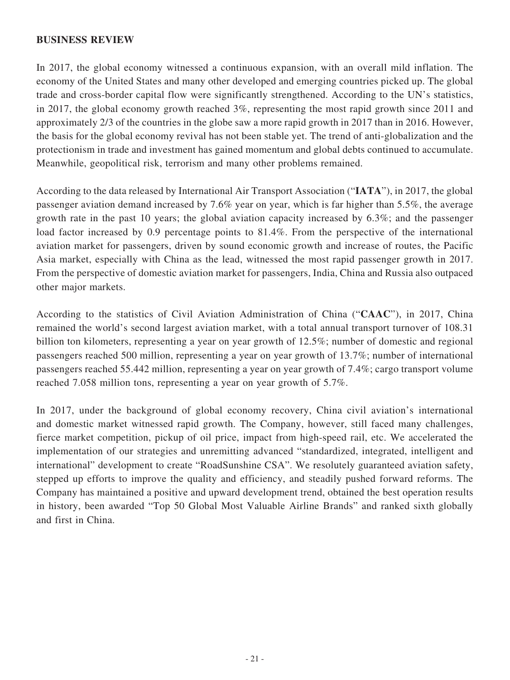### **BUSINESS REVIEW**

In 2017, the global economy witnessed a continuous expansion, with an overall mild inflation. The economy of the United States and many other developed and emerging countries picked up. The global trade and cross-border capital flow were significantly strengthened. According to the UN's statistics, in 2017, the global economy growth reached 3%, representing the most rapid growth since 2011 and approximately 2/3 of the countries in the globe saw a more rapid growth in 2017 than in 2016. However, the basis for the global economy revival has not been stable yet. The trend of anti-globalization and the protectionism in trade and investment has gained momentum and global debts continued to accumulate. Meanwhile, geopolitical risk, terrorism and many other problems remained.

According to the data released by International Air Transport Association ("**IATA**"), in 2017, the global passenger aviation demand increased by 7.6% year on year, which is far higher than 5.5%, the average growth rate in the past 10 years; the global aviation capacity increased by 6.3%; and the passenger load factor increased by 0.9 percentage points to 81.4%. From the perspective of the international aviation market for passengers, driven by sound economic growth and increase of routes, the Pacific Asia market, especially with China as the lead, witnessed the most rapid passenger growth in 2017. From the perspective of domestic aviation market for passengers, India, China and Russia also outpaced other major markets.

According to the statistics of Civil Aviation Administration of China ("**CAAC**"), in 2017, China remained the world's second largest aviation market, with a total annual transport turnover of 108.31 billion ton kilometers, representing a year on year growth of 12.5%; number of domestic and regional passengers reached 500 million, representing a year on year growth of 13.7%; number of international passengers reached 55.442 million, representing a year on year growth of 7.4%; cargo transport volume reached 7.058 million tons, representing a year on year growth of 5.7%.

In 2017, under the background of global economy recovery, China civil aviation's international and domestic market witnessed rapid growth. The Company, however, still faced many challenges, fierce market competition, pickup of oil price, impact from high-speed rail, etc. We accelerated the implementation of our strategies and unremitting advanced "standardized, integrated, intelligent and international" development to create "RoadSunshine CSA". We resolutely guaranteed aviation safety, stepped up efforts to improve the quality and efficiency, and steadily pushed forward reforms. The Company has maintained a positive and upward development trend, obtained the best operation results in history, been awarded "Top 50 Global Most Valuable Airline Brands" and ranked sixth globally and first in China.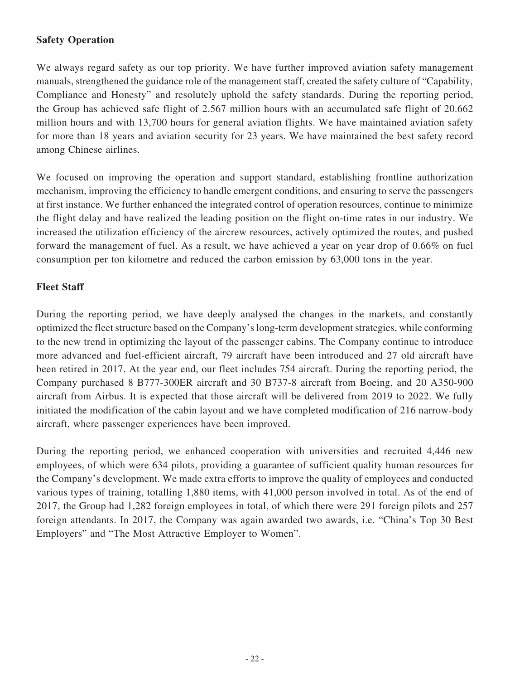## **Safety Operation**

We always regard safety as our top priority. We have further improved aviation safety management manuals, strengthened the guidance role of the management staff, created the safety culture of "Capability, Compliance and Honesty" and resolutely uphold the safety standards. During the reporting period, the Group has achieved safe flight of 2.567 million hours with an accumulated safe flight of 20.662 million hours and with 13,700 hours for general aviation flights. We have maintained aviation safety for more than 18 years and aviation security for 23 years. We have maintained the best safety record among Chinese airlines.

We focused on improving the operation and support standard, establishing frontline authorization mechanism, improving the efficiency to handle emergent conditions, and ensuring to serve the passengers at first instance. We further enhanced the integrated control of operation resources, continue to minimize the flight delay and have realized the leading position on the flight on-time rates in our industry. We increased the utilization efficiency of the aircrew resources, actively optimized the routes, and pushed forward the management of fuel. As a result, we have achieved a year on year drop of 0.66% on fuel consumption per ton kilometre and reduced the carbon emission by 63,000 tons in the year.

# **Fleet Staff**

During the reporting period, we have deeply analysed the changes in the markets, and constantly optimized the fleet structure based on the Company's long-term development strategies, while conforming to the new trend in optimizing the layout of the passenger cabins. The Company continue to introduce more advanced and fuel-efficient aircraft, 79 aircraft have been introduced and 27 old aircraft have been retired in 2017. At the year end, our fleet includes 754 aircraft. During the reporting period, the Company purchased 8 B777-300ER aircraft and 30 B737-8 aircraft from Boeing, and 20 A350-900 aircraft from Airbus. It is expected that those aircraft will be delivered from 2019 to 2022. We fully initiated the modification of the cabin layout and we have completed modification of 216 narrow-body aircraft, where passenger experiences have been improved.

During the reporting period, we enhanced cooperation with universities and recruited 4,446 new employees, of which were 634 pilots, providing a guarantee of sufficient quality human resources for the Company's development. We made extra efforts to improve the quality of employees and conducted various types of training, totalling 1,880 items, with 41,000 person involved in total. As of the end of 2017, the Group had 1,282 foreign employees in total, of which there were 291 foreign pilots and 257 foreign attendants. In 2017, the Company was again awarded two awards, i.e. "China's Top 30 Best Employers" and "The Most Attractive Employer to Women".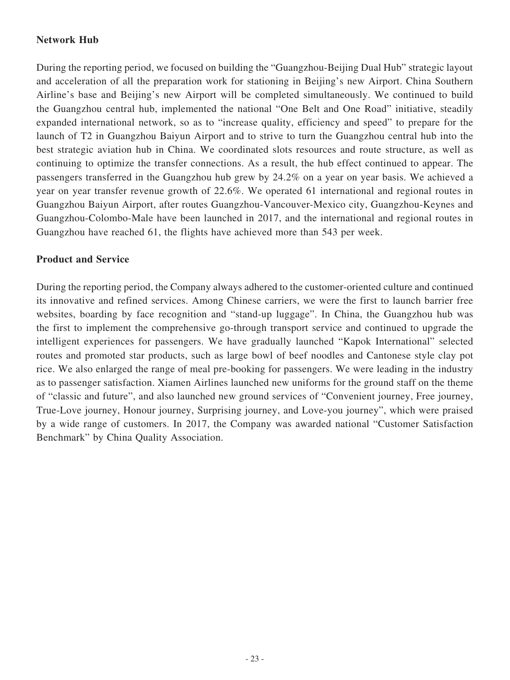# **Network Hub**

During the reporting period, we focused on building the "Guangzhou-Beijing Dual Hub" strategic layout and acceleration of all the preparation work for stationing in Beijing's new Airport. China Southern Airline's base and Beijing's new Airport will be completed simultaneously. We continued to build the Guangzhou central hub, implemented the national "One Belt and One Road" initiative, steadily expanded international network, so as to "increase quality, efficiency and speed" to prepare for the launch of T2 in Guangzhou Baiyun Airport and to strive to turn the Guangzhou central hub into the best strategic aviation hub in China. We coordinated slots resources and route structure, as well as continuing to optimize the transfer connections. As a result, the hub effect continued to appear. The passengers transferred in the Guangzhou hub grew by 24.2% on a year on year basis. We achieved a year on year transfer revenue growth of 22.6%. We operated 61 international and regional routes in Guangzhou Baiyun Airport, after routes Guangzhou-Vancouver-Mexico city, Guangzhou-Keynes and Guangzhou-Colombo-Male have been launched in 2017, and the international and regional routes in Guangzhou have reached 61, the flights have achieved more than 543 per week.

#### **Product and Service**

During the reporting period, the Company always adhered to the customer-oriented culture and continued its innovative and refined services. Among Chinese carriers, we were the first to launch barrier free websites, boarding by face recognition and "stand-up luggage". In China, the Guangzhou hub was the first to implement the comprehensive go-through transport service and continued to upgrade the intelligent experiences for passengers. We have gradually launched "Kapok International" selected routes and promoted star products, such as large bowl of beef noodles and Cantonese style clay pot rice. We also enlarged the range of meal pre-booking for passengers. We were leading in the industry as to passenger satisfaction. Xiamen Airlines launched new uniforms for the ground staff on the theme of "classic and future", and also launched new ground services of "Convenient journey, Free journey, True-Love journey, Honour journey, Surprising journey, and Love-you journey", which were praised by a wide range of customers. In 2017, the Company was awarded national "Customer Satisfaction Benchmark" by China Quality Association.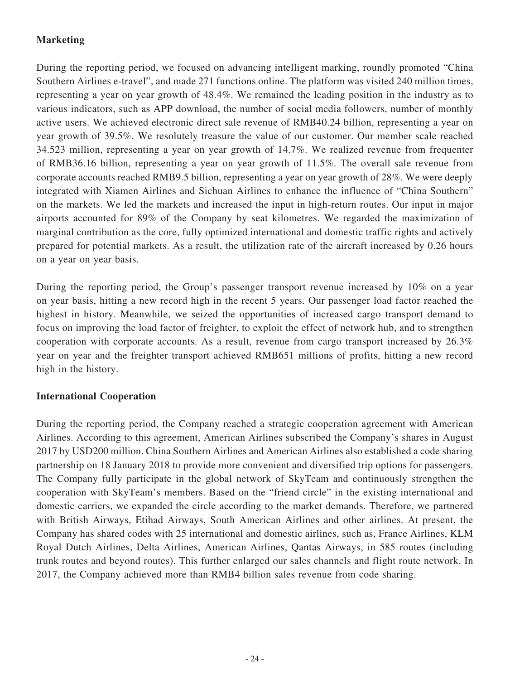# **Marketing**

During the reporting period, we focused on advancing intelligent marking, roundly promoted "China Southern Airlines e-travel", and made 271 functions online. The platform was visited 240 million times, representing a year on year growth of 48.4%. We remained the leading position in the industry as to various indicators, such as APP download, the number of social media followers, number of monthly active users. We achieved electronic direct sale revenue of RMB40.24 billion, representing a year on year growth of 39.5%. We resolutely treasure the value of our customer. Our member scale reached 34.523 million, representing a year on year growth of 14.7%. We realized revenue from frequenter of RMB36.16 billion, representing a year on year growth of 11.5%. The overall sale revenue from corporate accounts reached RMB9.5 billion, representing a year on year growth of 28%. We were deeply integrated with Xiamen Airlines and Sichuan Airlines to enhance the influence of "China Southern" on the markets. We led the markets and increased the input in high-return routes. Our input in major airports accounted for 89% of the Company by seat kilometres. We regarded the maximization of marginal contribution as the core, fully optimized international and domestic traffic rights and actively prepared for potential markets. As a result, the utilization rate of the aircraft increased by 0.26 hours on a year on year basis.

During the reporting period, the Group's passenger transport revenue increased by 10% on a year on year basis, hitting a new record high in the recent 5 years. Our passenger load factor reached the highest in history. Meanwhile, we seized the opportunities of increased cargo transport demand to focus on improving the load factor of freighter, to exploit the effect of network hub, and to strengthen cooperation with corporate accounts. As a result, revenue from cargo transport increased by 26.3% year on year and the freighter transport achieved RMB651 millions of profits, hitting a new record high in the history.

## **International Cooperation**

During the reporting period, the Company reached a strategic cooperation agreement with American Airlines. According to this agreement, American Airlines subscribed the Company's shares in August 2017 by USD200 million. China Southern Airlines and American Airlines also established a code sharing partnership on 18 January 2018 to provide more convenient and diversified trip options for passengers. The Company fully participate in the global network of SkyTeam and continuously strengthen the cooperation with SkyTeam's members. Based on the "friend circle" in the existing international and domestic carriers, we expanded the circle according to the market demands. Therefore, we partnered with British Airways, Etihad Airways, South American Airlines and other airlines. At present, the Company has shared codes with 25 international and domestic airlines, such as, France Airlines, KLM Royal Dutch Airlines, Delta Airlines, American Airlines, Qantas Airways, in 585 routes (including trunk routes and beyond routes). This further enlarged our sales channels and flight route network. In 2017, the Company achieved more than RMB4 billion sales revenue from code sharing.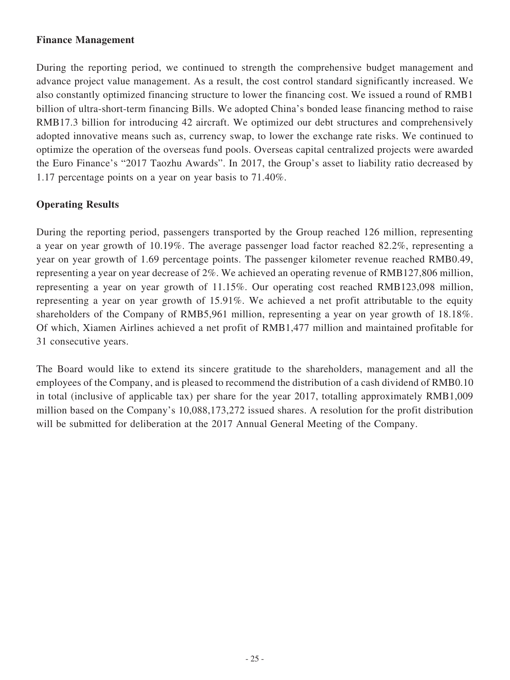#### **Finance Management**

During the reporting period, we continued to strength the comprehensive budget management and advance project value management. As a result, the cost control standard significantly increased. We also constantly optimized financing structure to lower the financing cost. We issued a round of RMB1 billion of ultra-short-term financing Bills. We adopted China's bonded lease financing method to raise RMB17.3 billion for introducing 42 aircraft. We optimized our debt structures and comprehensively adopted innovative means such as, currency swap, to lower the exchange rate risks. We continued to optimize the operation of the overseas fund pools. Overseas capital centralized projects were awarded the Euro Finance's "2017 Taozhu Awards". In 2017, the Group's asset to liability ratio decreased by 1.17 percentage points on a year on year basis to 71.40%.

## **Operating Results**

During the reporting period, passengers transported by the Group reached 126 million, representing a year on year growth of 10.19%. The average passenger load factor reached 82.2%, representing a year on year growth of 1.69 percentage points. The passenger kilometer revenue reached RMB0.49, representing a year on year decrease of 2%. We achieved an operating revenue of RMB127,806 million, representing a year on year growth of 11.15%. Our operating cost reached RMB123,098 million, representing a year on year growth of 15.91%. We achieved a net profit attributable to the equity shareholders of the Company of RMB5,961 million, representing a year on year growth of 18.18%. Of which, Xiamen Airlines achieved a net profit of RMB1,477 million and maintained profitable for 31 consecutive years.

The Board would like to extend its sincere gratitude to the shareholders, management and all the employees of the Company, and is pleased to recommend the distribution of a cash dividend of RMB0.10 in total (inclusive of applicable tax) per share for the year 2017, totalling approximately RMB1,009 million based on the Company's 10,088,173,272 issued shares. A resolution for the profit distribution will be submitted for deliberation at the 2017 Annual General Meeting of the Company.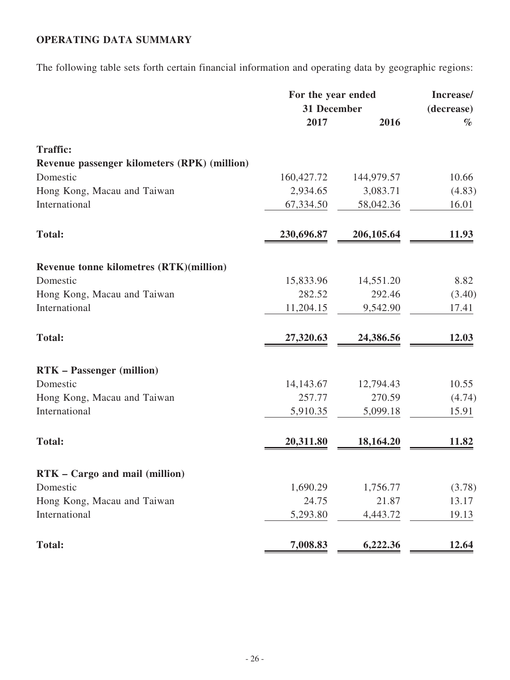# **OPERATING DATA SUMMARY**

The following table sets forth certain financial information and operating data by geographic regions:

|                                              | For the year ended<br>31 December |             | Increase/<br>(decrease) |
|----------------------------------------------|-----------------------------------|-------------|-------------------------|
|                                              | 2017                              | 2016        | $\%$                    |
| <b>Traffic:</b>                              |                                   |             |                         |
| Revenue passenger kilometers (RPK) (million) |                                   |             |                         |
| Domestic                                     | 160,427.72                        | 144,979.57  | 10.66                   |
| Hong Kong, Macau and Taiwan                  | 2,934.65                          | 3,083.71    | (4.83)                  |
| International                                | 67,334.50                         | 58,042.36   | 16.01                   |
| <b>Total:</b>                                | 230,696.87                        | 206, 105.64 | 11.93                   |
| Revenue tonne kilometres (RTK)(million)      |                                   |             |                         |
| Domestic                                     | 15,833.96                         | 14,551.20   | 8.82                    |
| Hong Kong, Macau and Taiwan                  | 282.52                            | 292.46      | (3.40)                  |
| International                                | 11,204.15                         | 9,542.90    | 17.41                   |
| <b>Total:</b>                                | 27,320.63                         | 24,386.56   | 12.03                   |
| <b>RTK</b> – Passenger (million)             |                                   |             |                         |
| Domestic                                     | 14,143.67                         | 12,794.43   | 10.55                   |
| Hong Kong, Macau and Taiwan                  | 257.77                            | 270.59      | (4.74)                  |
| International                                | 5,910.35                          | 5,099.18    | 15.91                   |
| <b>Total:</b>                                | 20,311.80                         | 18,164.20   | 11.82                   |
|                                              |                                   |             |                         |
| RTK - Cargo and mail (million)               |                                   |             |                         |
| Domestic                                     | 1,690.29                          | 1,756.77    | (3.78)                  |
| Hong Kong, Macau and Taiwan                  | 24.75                             | 21.87       | 13.17                   |
| International                                | 5,293.80                          | 4,443.72    | 19.13                   |
| <b>Total:</b>                                | 7,008.83                          | 6,222.36    | 12.64                   |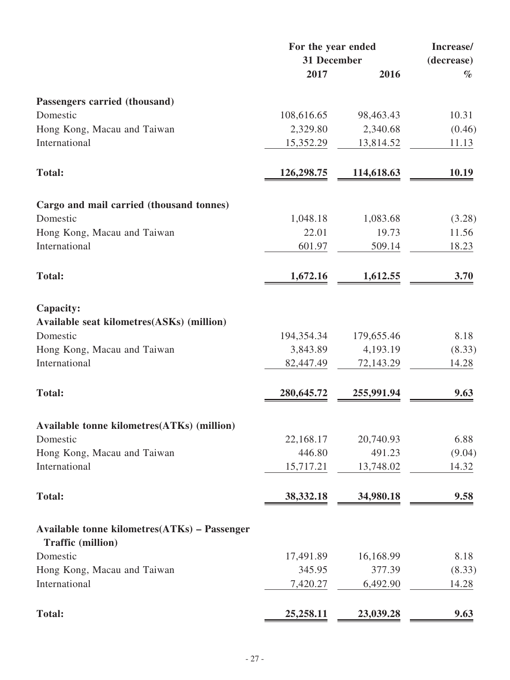|                                                                                 | For the year ended |            | Increase/  |
|---------------------------------------------------------------------------------|--------------------|------------|------------|
|                                                                                 | 31 December        |            | (decrease) |
|                                                                                 | 2017               | 2016       | $\%$       |
| Passengers carried (thousand)                                                   |                    |            |            |
| Domestic                                                                        | 108,616.65         | 98,463.43  | 10.31      |
| Hong Kong, Macau and Taiwan                                                     | 2,329.80           | 2,340.68   | (0.46)     |
| International                                                                   | 15,352.29          | 13,814.52  | 11.13      |
| <b>Total:</b>                                                                   | 126,298.75         | 114,618.63 | 10.19      |
| Cargo and mail carried (thousand tonnes)                                        |                    |            |            |
| Domestic                                                                        | 1,048.18           | 1,083.68   | (3.28)     |
| Hong Kong, Macau and Taiwan                                                     | 22.01              | 19.73      | 11.56      |
| International                                                                   | 601.97             | 509.14     | 18.23      |
| <b>Total:</b>                                                                   | 1,672.16           | 1,612.55   | 3.70       |
| Capacity:<br>Available seat kilometres(ASKs) (million)<br>Domestic              | 194,354.34         | 179,655.46 | 8.18       |
| Hong Kong, Macau and Taiwan                                                     | 3,843.89           | 4,193.19   | (8.33)     |
| International                                                                   | 82,447.49          | 72,143.29  | 14.28      |
| <b>Total:</b>                                                                   | 280,645.72         | 255,991.94 | 9.63       |
| Available tonne kilometres(ATKs) (million)                                      |                    |            |            |
| Domestic                                                                        | 22,168.17          | 20,740.93  | 6.88       |
| Hong Kong, Macau and Taiwan                                                     | 446.80             | 491.23     | (9.04)     |
| International                                                                   | 15,717.21          | 13,748.02  | 14.32      |
| <b>Total:</b>                                                                   | 38,332.18          | 34,980.18  | 9.58       |
| <b>Available tonne kilometres(ATKs) - Passenger</b><br><b>Traffic (million)</b> |                    |            |            |
| Domestic                                                                        | 17,491.89          | 16,168.99  | 8.18       |
| Hong Kong, Macau and Taiwan                                                     | 345.95             | 377.39     | (8.33)     |
| International                                                                   | 7,420.27           | 6,492.90   | 14.28      |
| <b>Total:</b>                                                                   | 25,258.11          | 23,039.28  | 9.63       |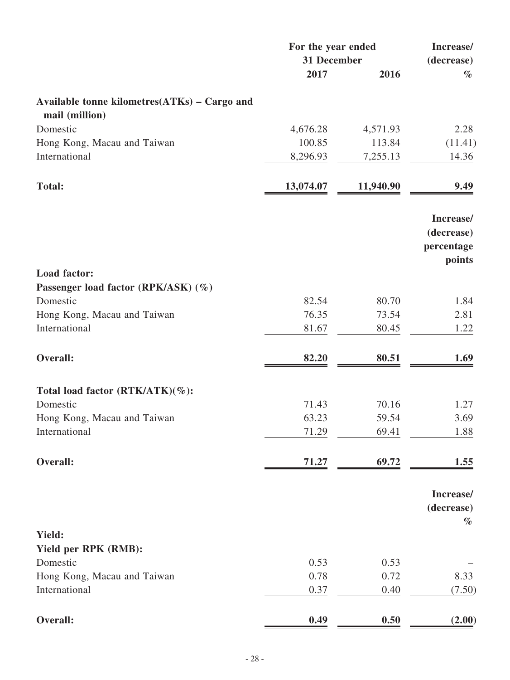|                                                                | For the year ended<br>31 December |           | Increase/<br>(decrease)         |
|----------------------------------------------------------------|-----------------------------------|-----------|---------------------------------|
|                                                                | 2017                              | 2016      | $\%$                            |
| Available tonne kilometres(ATKs) - Cargo and<br>mail (million) |                                   |           |                                 |
| Domestic                                                       | 4,676.28                          | 4,571.93  | 2.28                            |
| Hong Kong, Macau and Taiwan                                    | 100.85                            | 113.84    | (11.41)                         |
| International                                                  | 8,296.93                          | 7,255.13  | 14.36                           |
| <b>Total:</b>                                                  | 13,074.07                         | 11,940.90 | 9.49                            |
|                                                                |                                   |           | Increase/                       |
|                                                                |                                   |           | (decrease)                      |
|                                                                |                                   |           | percentage<br>points            |
| Load factor:                                                   |                                   |           |                                 |
| Passenger load factor (RPK/ASK) (%)                            |                                   |           |                                 |
| Domestic                                                       | 82.54                             | 80.70     | 1.84                            |
| Hong Kong, Macau and Taiwan                                    | 76.35                             | 73.54     | 2.81                            |
| International                                                  | 81.67                             | 80.45     | 1.22                            |
| Overall:                                                       | 82.20                             | 80.51     | 1.69                            |
| Total load factor (RTK/ATK)(%):                                |                                   |           |                                 |
| Domestic                                                       | 71.43                             | 70.16     | 1.27                            |
| Hong Kong, Macau and Taiwan                                    | 63.23                             | 59.54     | 3.69                            |
| International                                                  | 71.29                             | 69.41     | 1.88                            |
| Overall:                                                       | 71.27                             | 69.72     | 1.55                            |
|                                                                |                                   |           | Increase/<br>(decrease)<br>$\%$ |
| <b>Yield:</b>                                                  |                                   |           |                                 |
| Yield per RPK (RMB):                                           |                                   |           |                                 |
| Domestic                                                       | 0.53                              | 0.53      |                                 |
| Hong Kong, Macau and Taiwan                                    | 0.78                              | 0.72      | 8.33                            |
| International                                                  | 0.37                              | 0.40      | (7.50)                          |
| Overall:                                                       | 0.49                              | 0.50      | (2.00)                          |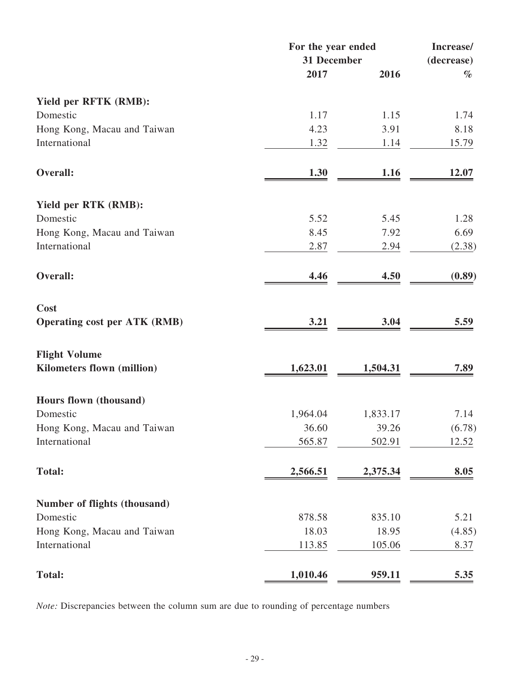|                                     | For the year ended |          | Increase/<br>(decrease) |
|-------------------------------------|--------------------|----------|-------------------------|
|                                     | 31 December        |          |                         |
|                                     | 2017               | 2016     | $\%$                    |
| Yield per RFTK (RMB):               |                    |          |                         |
| Domestic                            | 1.17               | 1.15     | 1.74                    |
| Hong Kong, Macau and Taiwan         | 4.23               | 3.91     | 8.18                    |
| International                       | 1.32               | 1.14     | 15.79                   |
| Overall:                            | 1.30               | 1.16     | 12.07                   |
| Yield per RTK (RMB):                |                    |          |                         |
| Domestic                            | 5.52               | 5.45     | 1.28                    |
| Hong Kong, Macau and Taiwan         | 8.45               | 7.92     | 6.69                    |
| International                       | 2.87               | 2.94     | (2.38)                  |
| Overall:                            | 4.46               | 4.50     | (0.89)                  |
| Cost                                |                    |          |                         |
| <b>Operating cost per ATK (RMB)</b> | 3.21               | 3.04     | 5.59                    |
| <b>Flight Volume</b>                |                    |          |                         |
| Kilometers flown (million)          | 1,623.01           | 1,504.31 | 7.89                    |
| Hours flown (thousand)              |                    |          |                         |
| Domestic                            | 1,964.04           | 1,833.17 | 7.14                    |
| Hong Kong, Macau and Taiwan         | 36.60              | 39.26    | (6.78)                  |
| International                       | 565.87             | 502.91   | 12.52                   |
| <b>Total:</b>                       | 2,566.51           | 2,375.34 | 8.05                    |
| Number of flights (thousand)        |                    |          |                         |
| Domestic                            | 878.58             | 835.10   | 5.21                    |
| Hong Kong, Macau and Taiwan         | 18.03              | 18.95    | (4.85)                  |
| International                       | 113.85             | 105.06   | 8.37                    |
| <b>Total:</b>                       | 1,010.46           | 959.11   | 5.35                    |

*Note:* Discrepancies between the column sum are due to rounding of percentage numbers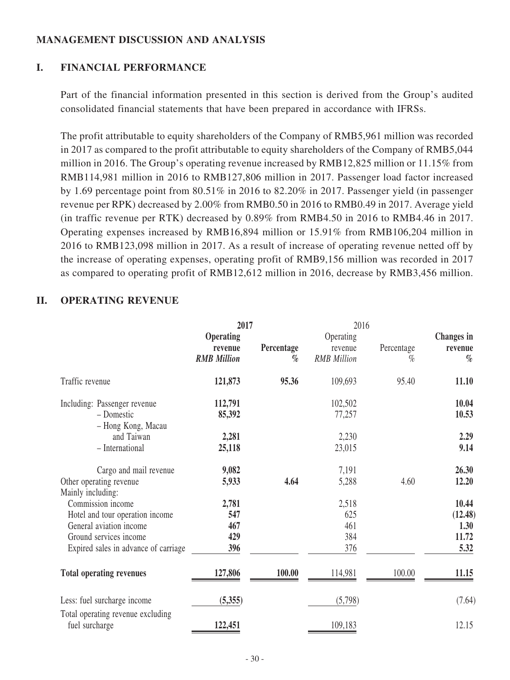## **MANAGEMENT DISCUSSION AND ANALYSIS**

## **I. FINANCIAL PERFORMANCE**

Part of the financial information presented in this section is derived from the Group's audited consolidated financial statements that have been prepared in accordance with IFRSs.

The profit attributable to equity shareholders of the Company of RMB5,961 million was recorded in 2017 as compared to the profit attributable to equity shareholders of the Company of RMB5,044 million in 2016. The Group's operating revenue increased by RMB12,825 million or 11.15% from RMB114,981 million in 2016 to RMB127,806 million in 2017. Passenger load factor increased by 1.69 percentage point from 80.51% in 2016 to 82.20% in 2017. Passenger yield (in passenger revenue per RPK) decreased by 2.00% from RMB0.50 in 2016 to RMB0.49 in 2017. Average yield (in traffic revenue per RTK) decreased by 0.89% from RMB4.50 in 2016 to RMB4.46 in 2017. Operating expenses increased by RMB16,894 million or 15.91% from RMB106,204 million in 2016 to RMB123,098 million in 2017. As a result of increase of operating revenue netted off by the increase of operating expenses, operating profit of RMB9,156 million was recorded in 2017 as compared to operating profit of RMB12,612 million in 2016, decrease by RMB3,456 million.

## **II. OPERATING REVENUE**

|                                                     | 2017<br>2016       |            |                    |            |                   |
|-----------------------------------------------------|--------------------|------------|--------------------|------------|-------------------|
|                                                     | <b>Operating</b>   |            | Operating          |            | <b>Changes</b> in |
|                                                     | revenue            | Percentage | revenue            | Percentage | revenue           |
|                                                     | <b>RMB</b> Million | $\%$       | <b>RMB</b> Million | $\%$       | $\%$              |
| Traffic revenue                                     | 121,873            | 95.36      | 109,693            | 95.40      | 11.10             |
| Including: Passenger revenue                        | 112,791            |            | 102,502            |            | 10.04             |
| - Domestic                                          | 85,392             |            | 77,257             |            | 10.53             |
| - Hong Kong, Macau                                  |                    |            |                    |            |                   |
| and Taiwan                                          | 2,281              |            | 2,230              |            | 2.29              |
| - International                                     | 25,118             |            | 23,015             |            | 9.14              |
| Cargo and mail revenue                              | 9,082              |            | 7,191              |            | 26.30             |
| Other operating revenue                             | 5,933              | 4.64       | 5,288              | 4.60       | 12.20             |
| Mainly including:                                   |                    |            |                    |            |                   |
| Commission income                                   | 2,781              |            | 2,518              |            | 10.44             |
| Hotel and tour operation income                     | 547                |            | 625                |            | (12.48)           |
| General aviation income                             | 467                |            | 461                |            | 1.30              |
| Ground services income                              | 429                |            | 384                |            | 11.72             |
| Expired sales in advance of carriage                | 396                |            | 376                |            | 5.32              |
| <b>Total operating revenues</b>                     | 127,806            | 100.00     | 114,981            | 100.00     | 11.15             |
| Less: fuel surcharge income                         | (5,355)            |            | (5,798)            |            | (7.64)            |
| Total operating revenue excluding<br>fuel surcharge | 122,451            |            | 109,183            |            | 12.15             |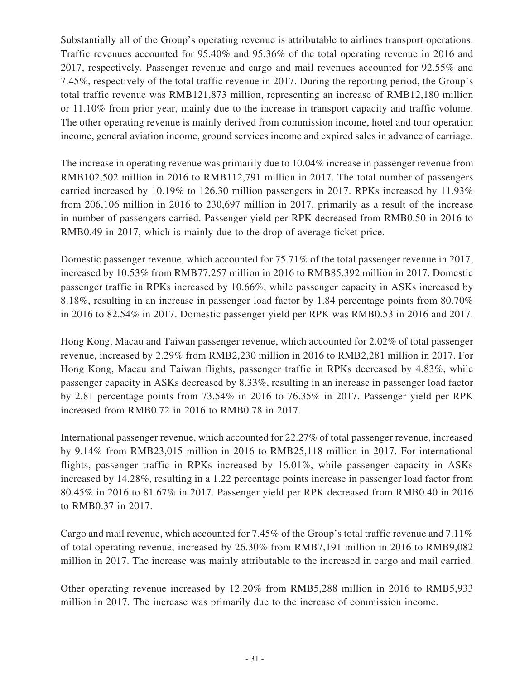Substantially all of the Group's operating revenue is attributable to airlines transport operations. Traffic revenues accounted for 95.40% and 95.36% of the total operating revenue in 2016 and 2017, respectively. Passenger revenue and cargo and mail revenues accounted for 92.55% and 7.45%, respectively of the total traffic revenue in 2017. During the reporting period, the Group's total traffic revenue was RMB121,873 million, representing an increase of RMB12,180 million or 11.10% from prior year, mainly due to the increase in transport capacity and traffic volume. The other operating revenue is mainly derived from commission income, hotel and tour operation income, general aviation income, ground services income and expired sales in advance of carriage.

The increase in operating revenue was primarily due to 10.04% increase in passenger revenue from RMB102,502 million in 2016 to RMB112,791 million in 2017. The total number of passengers carried increased by 10.19% to 126.30 million passengers in 2017. RPKs increased by 11.93% from 206,106 million in 2016 to 230,697 million in 2017, primarily as a result of the increase in number of passengers carried. Passenger yield per RPK decreased from RMB0.50 in 2016 to RMB0.49 in 2017, which is mainly due to the drop of average ticket price.

Domestic passenger revenue, which accounted for 75.71% of the total passenger revenue in 2017, increased by 10.53% from RMB77,257 million in 2016 to RMB85,392 million in 2017. Domestic passenger traffic in RPKs increased by 10.66%, while passenger capacity in ASKs increased by 8.18%, resulting in an increase in passenger load factor by 1.84 percentage points from 80.70% in 2016 to 82.54% in 2017. Domestic passenger yield per RPK was RMB0.53 in 2016 and 2017.

Hong Kong, Macau and Taiwan passenger revenue, which accounted for 2.02% of total passenger revenue, increased by 2.29% from RMB2,230 million in 2016 to RMB2,281 million in 2017. For Hong Kong, Macau and Taiwan flights, passenger traffic in RPKs decreased by 4.83%, while passenger capacity in ASKs decreased by 8.33%, resulting in an increase in passenger load factor by 2.81 percentage points from 73.54% in 2016 to 76.35% in 2017. Passenger yield per RPK increased from RMB0.72 in 2016 to RMB0.78 in 2017.

International passenger revenue, which accounted for 22.27% of total passenger revenue, increased by 9.14% from RMB23,015 million in 2016 to RMB25,118 million in 2017. For international flights, passenger traffic in RPKs increased by 16.01%, while passenger capacity in ASKs increased by 14.28%, resulting in a 1.22 percentage points increase in passenger load factor from 80.45% in 2016 to 81.67% in 2017. Passenger yield per RPK decreased from RMB0.40 in 2016 to RMB0.37 in 2017.

Cargo and mail revenue, which accounted for 7.45% of the Group's total traffic revenue and 7.11% of total operating revenue, increased by 26.30% from RMB7,191 million in 2016 to RMB9,082 million in 2017. The increase was mainly attributable to the increased in cargo and mail carried.

Other operating revenue increased by 12.20% from RMB5,288 million in 2016 to RMB5,933 million in 2017. The increase was primarily due to the increase of commission income.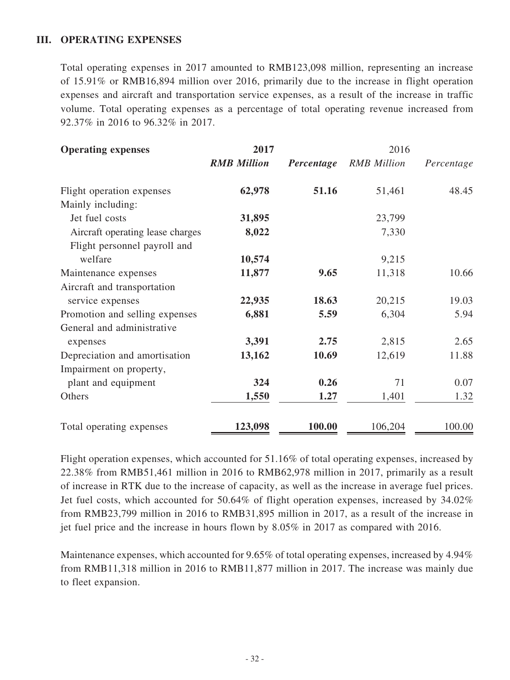## **III. OPERATING EXPENSES**

Total operating expenses in 2017 amounted to RMB123,098 million, representing an increase of 15.91% or RMB16,894 million over 2016, primarily due to the increase in flight operation expenses and aircraft and transportation service expenses, as a result of the increase in traffic volume. Total operating expenses as a percentage of total operating revenue increased from 92.37% in 2016 to 96.32% in 2017.

| <b>Operating expenses</b>        | 2017               |            | 2016               |            |
|----------------------------------|--------------------|------------|--------------------|------------|
|                                  | <b>RMB</b> Million | Percentage | <b>RMB</b> Million | Percentage |
| Flight operation expenses        | 62,978             | 51.16      | 51,461             | 48.45      |
| Mainly including:                |                    |            |                    |            |
| Jet fuel costs                   | 31,895             |            | 23,799             |            |
| Aircraft operating lease charges | 8,022              |            | 7,330              |            |
| Flight personnel payroll and     |                    |            |                    |            |
| welfare                          | 10,574             |            | 9,215              |            |
| Maintenance expenses             | 11,877             | 9.65       | 11,318             | 10.66      |
| Aircraft and transportation      |                    |            |                    |            |
| service expenses                 | 22,935             | 18.63      | 20,215             | 19.03      |
| Promotion and selling expenses   | 6,881              | 5.59       | 6,304              | 5.94       |
| General and administrative       |                    |            |                    |            |
| expenses                         | 3,391              | 2.75       | 2,815              | 2.65       |
| Depreciation and amortisation    | 13,162             | 10.69      | 12,619             | 11.88      |
| Impairment on property,          |                    |            |                    |            |
| plant and equipment              | 324                | 0.26       | 71                 | 0.07       |
| Others                           | 1,550              | 1.27       | 1,401              | 1.32       |
| Total operating expenses         | 123,098            | 100.00     | 106,204            | 100.00     |

Flight operation expenses, which accounted for 51.16% of total operating expenses, increased by 22.38% from RMB51,461 million in 2016 to RMB62,978 million in 2017, primarily as a result of increase in RTK due to the increase of capacity, as well as the increase in average fuel prices. Jet fuel costs, which accounted for 50.64% of flight operation expenses, increased by 34.02% from RMB23,799 million in 2016 to RMB31,895 million in 2017, as a result of the increase in jet fuel price and the increase in hours flown by 8.05% in 2017 as compared with 2016.

Maintenance expenses, which accounted for 9.65% of total operating expenses, increased by 4.94% from RMB11,318 million in 2016 to RMB11,877 million in 2017. The increase was mainly due to fleet expansion.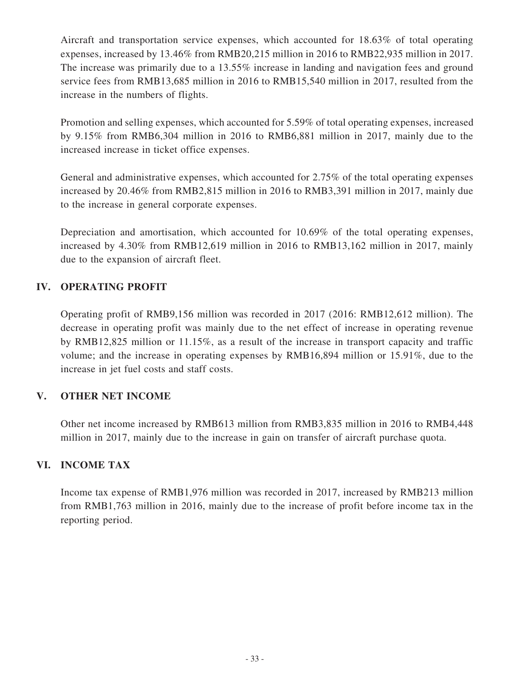Aircraft and transportation service expenses, which accounted for 18.63% of total operating expenses, increased by 13.46% from RMB20,215 million in 2016 to RMB22,935 million in 2017. The increase was primarily due to a 13.55% increase in landing and navigation fees and ground service fees from RMB13,685 million in 2016 to RMB15,540 million in 2017, resulted from the increase in the numbers of flights.

Promotion and selling expenses, which accounted for 5.59% of total operating expenses, increased by 9.15% from RMB6,304 million in 2016 to RMB6,881 million in 2017, mainly due to the increased increase in ticket office expenses.

General and administrative expenses, which accounted for 2.75% of the total operating expenses increased by 20.46% from RMB2,815 million in 2016 to RMB3,391 million in 2017, mainly due to the increase in general corporate expenses.

Depreciation and amortisation, which accounted for 10.69% of the total operating expenses, increased by 4.30% from RMB12,619 million in 2016 to RMB13,162 million in 2017, mainly due to the expansion of aircraft fleet.

# **IV. OPERATING PROFIT**

Operating profit of RMB9,156 million was recorded in 2017 (2016: RMB12,612 million). The decrease in operating profit was mainly due to the net effect of increase in operating revenue by RMB12,825 million or 11.15%, as a result of the increase in transport capacity and traffic volume; and the increase in operating expenses by RMB16,894 million or 15.91%, due to the increase in jet fuel costs and staff costs.

# **V. OTHER NET INCOME**

Other net income increased by RMB613 million from RMB3,835 million in 2016 to RMB4,448 million in 2017, mainly due to the increase in gain on transfer of aircraft purchase quota.

## **VI. INCOME TAX**

Income tax expense of RMB1,976 million was recorded in 2017, increased by RMB213 million from RMB1,763 million in 2016, mainly due to the increase of profit before income tax in the reporting period.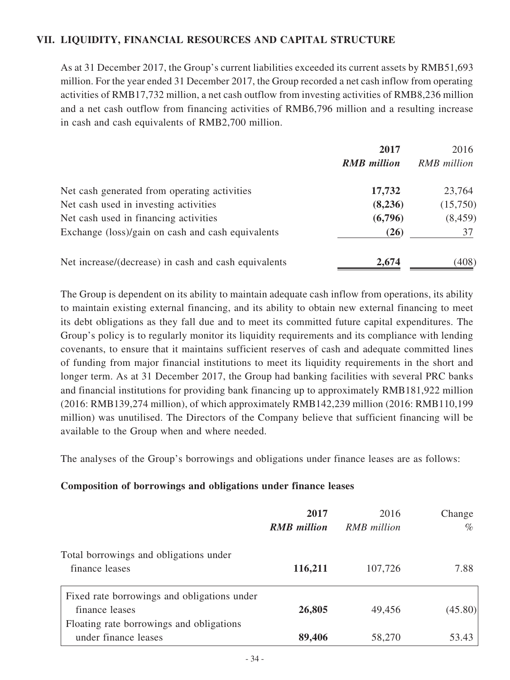# **VII. LIQUIDITY, FINANCIAL RESOURCES AND CAPITAL STRUCTURE**

As at 31 December 2017, the Group's current liabilities exceeded its current assets by RMB51,693 million. For the year ended 31 December 2017, the Group recorded a net cash inflow from operating activities of RMB17,732 million, a net cash outflow from investing activities of RMB8,236 million and a net cash outflow from financing activities of RMB6,796 million and a resulting increase in cash and cash equivalents of RMB2,700 million.

|                                                      | 2017               | 2016               |
|------------------------------------------------------|--------------------|--------------------|
|                                                      | <b>RMB</b> million | <b>RMB</b> million |
| Net cash generated from operating activities         | 17,732             | 23,764             |
| Net cash used in investing activities                | (8,236)            | (15,750)           |
| Net cash used in financing activities                | (6,796)            | (8, 459)           |
| Exchange (loss)/gain on cash and cash equivalents    | (26)               | 37                 |
| Net increase/(decrease) in cash and cash equivalents | 2,674              | (408)              |

The Group is dependent on its ability to maintain adequate cash inflow from operations, its ability to maintain existing external financing, and its ability to obtain new external financing to meet its debt obligations as they fall due and to meet its committed future capital expenditures. The Group's policy is to regularly monitor its liquidity requirements and its compliance with lending covenants, to ensure that it maintains sufficient reserves of cash and adequate committed lines of funding from major financial institutions to meet its liquidity requirements in the short and longer term. As at 31 December 2017, the Group had banking facilities with several PRC banks and financial institutions for providing bank financing up to approximately RMB181,922 million (2016: RMB139,274 million), of which approximately RMB142,239 million (2016: RMB110,199 million) was unutilised. The Directors of the Company believe that sufficient financing will be available to the Group when and where needed.

The analyses of the Group's borrowings and obligations under finance leases are as follows:

#### **Composition of borrowings and obligations under finance leases**

|                                             | 2017               | 2016               | Change  |
|---------------------------------------------|--------------------|--------------------|---------|
|                                             | <b>RMB</b> million | <b>RMB</b> million | $\%$    |
| Total borrowings and obligations under      |                    |                    |         |
| finance leases                              | 116,211            | 107,726            | 7.88    |
| Fixed rate borrowings and obligations under |                    |                    |         |
| finance leases                              | 26,805             | 49,456             | (45.80) |
| Floating rate borrowings and obligations    |                    |                    |         |
| under finance leases                        | 89,406             | 58,270             | 53.43   |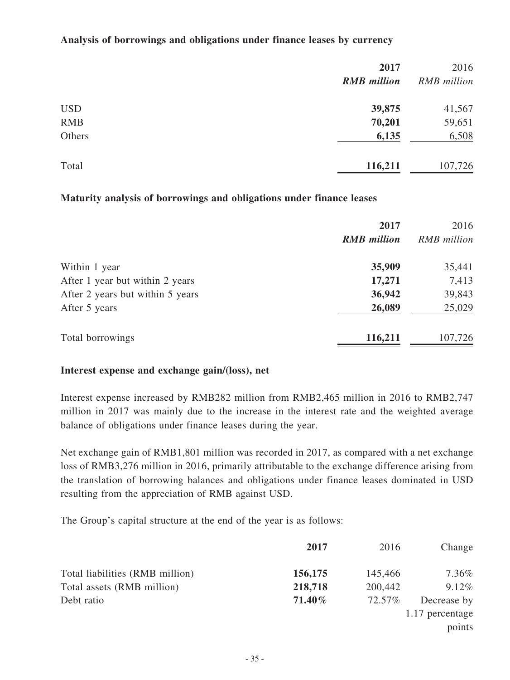#### **Analysis of borrowings and obligations under finance leases by currency**

|            | 2017               | 2016               |
|------------|--------------------|--------------------|
|            | <b>RMB</b> million | <b>RMB</b> million |
| <b>USD</b> | 39,875             | 41,567             |
| <b>RMB</b> | 70,201             | 59,651             |
| Others     | 6,135              | 6,508              |
| Total      | 116,211            | 107,726            |

#### **Maturity analysis of borrowings and obligations under finance leases**

|                                  | 2017               | 2016               |
|----------------------------------|--------------------|--------------------|
|                                  | <b>RMB</b> million | <b>RMB</b> million |
| Within 1 year                    | 35,909             | 35,441             |
| After 1 year but within 2 years  | 17,271             | 7,413              |
| After 2 years but within 5 years | 36,942             | 39,843             |
| After 5 years                    | 26,089             | 25,029             |
| Total borrowings                 | 116,211            | 107,726            |

#### **Interest expense and exchange gain/(loss), net**

Interest expense increased by RMB282 million from RMB2,465 million in 2016 to RMB2,747 million in 2017 was mainly due to the increase in the interest rate and the weighted average balance of obligations under finance leases during the year.

Net exchange gain of RMB1,801 million was recorded in 2017, as compared with a net exchange loss of RMB3,276 million in 2016, primarily attributable to the exchange difference arising from the translation of borrowing balances and obligations under finance leases dominated in USD resulting from the appreciation of RMB against USD.

The Group's capital structure at the end of the year is as follows:

|                                 | 2017    | 2016    | Change          |
|---------------------------------|---------|---------|-----------------|
| Total liabilities (RMB million) | 156,175 | 145,466 | $7.36\%$        |
| Total assets (RMB million)      | 218,718 | 200,442 | 9.12%           |
| Debt ratio                      | 71.40%  | 72.57%  | Decrease by     |
|                                 |         |         | 1.17 percentage |
|                                 |         |         | points          |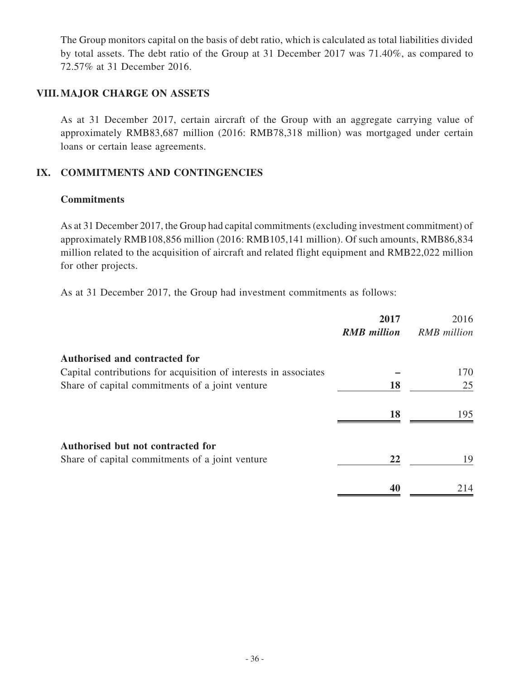The Group monitors capital on the basis of debt ratio, which is calculated as total liabilities divided by total assets. The debt ratio of the Group at 31 December 2017 was 71.40%, as compared to 72.57% at 31 December 2016.

#### **VIII. MAJOR CHARGE ON ASSETS**

As at 31 December 2017, certain aircraft of the Group with an aggregate carrying value of approximately RMB83,687 million (2016: RMB78,318 million) was mortgaged under certain loans or certain lease agreements.

## **IX. COMMITMENTS AND CONTINGENCIES**

#### **Commitments**

As at 31 December 2017, the Group had capital commitments (excluding investment commitment) of approximately RMB108,856 million (2016: RMB105,141 million). Of such amounts, RMB86,834 million related to the acquisition of aircraft and related flight equipment and RMB22,022 million for other projects.

As at 31 December 2017, the Group had investment commitments as follows:

|                                                                  | 2017<br><b>RMB</b> million | 2016<br><b>RMB</b> million |
|------------------------------------------------------------------|----------------------------|----------------------------|
| <b>Authorised and contracted for</b>                             |                            |                            |
| Capital contributions for acquisition of interests in associates |                            | 170                        |
| Share of capital commitments of a joint venture                  | 18                         | 25                         |
|                                                                  | 18                         | 195                        |
| <b>Authorised but not contracted for</b>                         |                            |                            |
| Share of capital commitments of a joint venture                  | 22                         | 19                         |
|                                                                  | 40                         | 214                        |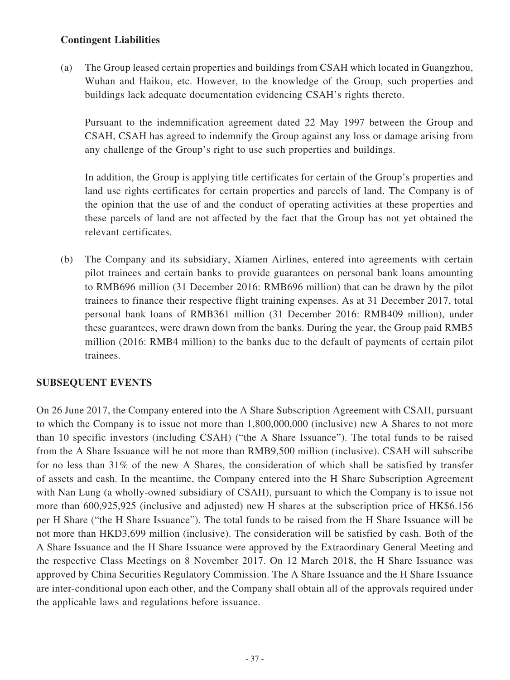# **Contingent Liabilities**

(a) The Group leased certain properties and buildings from CSAH which located in Guangzhou, Wuhan and Haikou, etc. However, to the knowledge of the Group, such properties and buildings lack adequate documentation evidencing CSAH's rights thereto.

Pursuant to the indemnification agreement dated 22 May 1997 between the Group and CSAH, CSAH has agreed to indemnify the Group against any loss or damage arising from any challenge of the Group's right to use such properties and buildings.

In addition, the Group is applying title certificates for certain of the Group's properties and land use rights certificates for certain properties and parcels of land. The Company is of the opinion that the use of and the conduct of operating activities at these properties and these parcels of land are not affected by the fact that the Group has not yet obtained the relevant certificates.

(b) The Company and its subsidiary, Xiamen Airlines, entered into agreements with certain pilot trainees and certain banks to provide guarantees on personal bank loans amounting to RMB696 million (31 December 2016: RMB696 million) that can be drawn by the pilot trainees to finance their respective flight training expenses. As at 31 December 2017, total personal bank loans of RMB361 million (31 December 2016: RMB409 million), under these guarantees, were drawn down from the banks. During the year, the Group paid RMB5 million (2016: RMB4 million) to the banks due to the default of payments of certain pilot trainees.

## **SUBSEQUENT EVENTS**

On 26 June 2017, the Company entered into the A Share Subscription Agreement with CSAH, pursuant to which the Company is to issue not more than 1,800,000,000 (inclusive) new A Shares to not more than 10 specific investors (including CSAH) ("the A Share Issuance"). The total funds to be raised from the A Share Issuance will be not more than RMB9,500 million (inclusive). CSAH will subscribe for no less than 31% of the new A Shares, the consideration of which shall be satisfied by transfer of assets and cash. In the meantime, the Company entered into the H Share Subscription Agreement with Nan Lung (a wholly-owned subsidiary of CSAH), pursuant to which the Company is to issue not more than 600,925,925 (inclusive and adjusted) new H shares at the subscription price of HK\$6.156 per H Share ("the H Share Issuance"). The total funds to be raised from the H Share Issuance will be not more than HKD3,699 million (inclusive). The consideration will be satisfied by cash. Both of the A Share Issuance and the H Share Issuance were approved by the Extraordinary General Meeting and the respective Class Meetings on 8 November 2017. On 12 March 2018, the H Share Issuance was approved by China Securities Regulatory Commission. The A Share Issuance and the H Share Issuance are inter-conditional upon each other, and the Company shall obtain all of the approvals required under the applicable laws and regulations before issuance.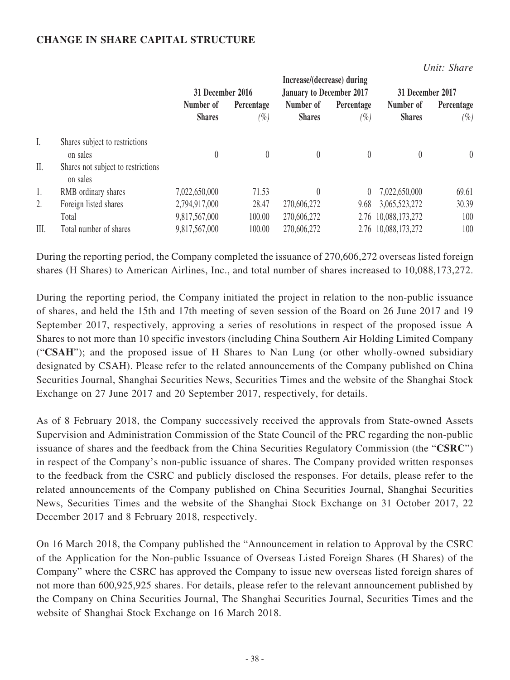## **CHANGE IN SHARE CAPITAL STRUCTURE**

*Unit: Share*

|                                                | Increase/(decrease) during |                   |                                 |                   |                            |                                                                |
|------------------------------------------------|----------------------------|-------------------|---------------------------------|-------------------|----------------------------|----------------------------------------------------------------|
|                                                | 31 December 2016           |                   | <b>January to December 2017</b> |                   | 31 December 2017           |                                                                |
|                                                | Number of<br><b>Shares</b> | Percentage<br>(%) | Number of<br><b>Shares</b>      | Percentage<br>(%) | Number of<br><b>Shares</b> | Percentage<br>$(\%)$                                           |
| Shares subject to restrictions<br>on sales     |                            |                   | $\overline{0}$                  | $\theta$          |                            | $\theta$                                                       |
| Shares not subject to restrictions<br>on sales |                            |                   |                                 |                   |                            |                                                                |
| RMB ordinary shares                            | 7,022,650,000              | 71.53             | $\theta$                        |                   | 7,022,650,000              | 69.61                                                          |
| Foreign listed shares                          | 2,794,917,000              | 28.47             | 270,606,272                     | 9.68              | 3,065,523,272              | 30.39                                                          |
| Total                                          | 9,817,567,000              | 100.00            | 270,606,272                     |                   |                            | 100                                                            |
| Total number of shares                         | 9,817,567,000              | 100.00            | 270,606,272                     |                   |                            | 100                                                            |
|                                                |                            |                   |                                 |                   |                            | $\left( \right)$<br>2.76 10,088,173,272<br>2.76 10,088,173,272 |

During the reporting period, the Company completed the issuance of 270,606,272 overseas listed foreign shares (H Shares) to American Airlines, Inc., and total number of shares increased to 10,088,173,272.

During the reporting period, the Company initiated the project in relation to the non-public issuance of shares, and held the 15th and 17th meeting of seven session of the Board on 26 June 2017 and 19 September 2017, respectively, approving a series of resolutions in respect of the proposed issue A Shares to not more than 10 specific investors (including China Southern Air Holding Limited Company ("**CSAH**"); and the proposed issue of H Shares to Nan Lung (or other wholly-owned subsidiary designated by CSAH). Please refer to the related announcements of the Company published on China Securities Journal, Shanghai Securities News, Securities Times and the website of the Shanghai Stock Exchange on 27 June 2017 and 20 September 2017, respectively, for details.

As of 8 February 2018, the Company successively received the approvals from State-owned Assets Supervision and Administration Commission of the State Council of the PRC regarding the non-public issuance of shares and the feedback from the China Securities Regulatory Commission (the "**CSRC**") in respect of the Company's non-public issuance of shares. The Company provided written responses to the feedback from the CSRC and publicly disclosed the responses. For details, please refer to the related announcements of the Company published on China Securities Journal, Shanghai Securities News, Securities Times and the website of the Shanghai Stock Exchange on 31 October 2017, 22 December 2017 and 8 February 2018, respectively.

On 16 March 2018, the Company published the "Announcement in relation to Approval by the CSRC of the Application for the Non-public Issuance of Overseas Listed Foreign Shares (H Shares) of the Company" where the CSRC has approved the Company to issue new overseas listed foreign shares of not more than 600,925,925 shares. For details, please refer to the relevant announcement published by the Company on China Securities Journal, The Shanghai Securities Journal, Securities Times and the website of Shanghai Stock Exchange on 16 March 2018.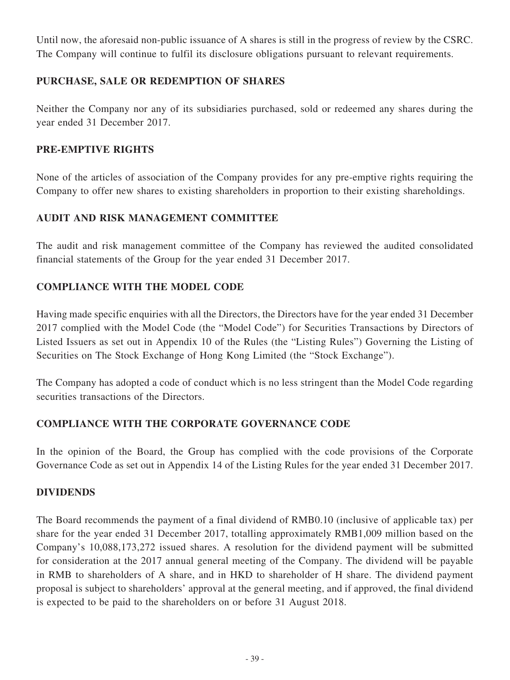Until now, the aforesaid non-public issuance of A shares is still in the progress of review by the CSRC. The Company will continue to fulfil its disclosure obligations pursuant to relevant requirements.

# **PURCHASE, SALE OR REDEMPTION OF SHARES**

Neither the Company nor any of its subsidiaries purchased, sold or redeemed any shares during the year ended 31 December 2017.

## **PRE-EMPTIVE RIGHTS**

None of the articles of association of the Company provides for any pre-emptive rights requiring the Company to offer new shares to existing shareholders in proportion to their existing shareholdings.

# **AUDIT AND RISK MANAGEMENT COMMITTEE**

The audit and risk management committee of the Company has reviewed the audited consolidated financial statements of the Group for the year ended 31 December 2017.

# **COMPLIANCE WITH THE MODEL CODE**

Having made specific enquiries with all the Directors, the Directors have for the year ended 31 December 2017 complied with the Model Code (the "Model Code") for Securities Transactions by Directors of Listed Issuers as set out in Appendix 10 of the Rules (the "Listing Rules") Governing the Listing of Securities on The Stock Exchange of Hong Kong Limited (the "Stock Exchange").

The Company has adopted a code of conduct which is no less stringent than the Model Code regarding securities transactions of the Directors.

# **COMPLIANCE WITH THE CORPORATE GOVERNANCE CODE**

In the opinion of the Board, the Group has complied with the code provisions of the Corporate Governance Code as set out in Appendix 14 of the Listing Rules for the year ended 31 December 2017.

## **DIVIDENDS**

The Board recommends the payment of a final dividend of RMB0.10 (inclusive of applicable tax) per share for the year ended 31 December 2017, totalling approximately RMB1,009 million based on the Company's 10,088,173,272 issued shares. A resolution for the dividend payment will be submitted for consideration at the 2017 annual general meeting of the Company. The dividend will be payable in RMB to shareholders of A share, and in HKD to shareholder of H share. The dividend payment proposal is subject to shareholders' approval at the general meeting, and if approved, the final dividend is expected to be paid to the shareholders on or before 31 August 2018.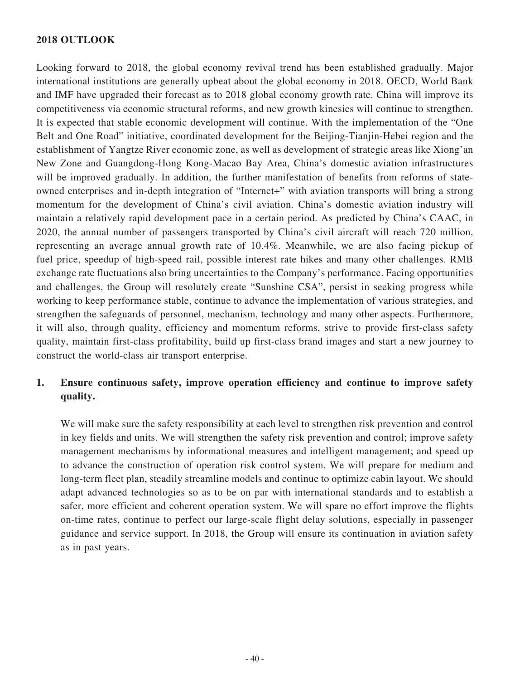## **2018 OUTLOOK**

Looking forward to 2018, the global economy revival trend has been established gradually. Major international institutions are generally upbeat about the global economy in 2018. OECD, World Bank and IMF have upgraded their forecast as to 2018 global economy growth rate. China will improve its competitiveness via economic structural reforms, and new growth kinesics will continue to strengthen. It is expected that stable economic development will continue. With the implementation of the "One Belt and One Road" initiative, coordinated development for the Beijing-Tianjin-Hebei region and the establishment of Yangtze River economic zone, as well as development of strategic areas like Xiong'an New Zone and Guangdong-Hong Kong-Macao Bay Area, China's domestic aviation infrastructures will be improved gradually. In addition, the further manifestation of benefits from reforms of stateowned enterprises and in-depth integration of "Internet+" with aviation transports will bring a strong momentum for the development of China's civil aviation. China's domestic aviation industry will maintain a relatively rapid development pace in a certain period. As predicted by China's CAAC, in 2020, the annual number of passengers transported by China's civil aircraft will reach 720 million, representing an average annual growth rate of 10.4%. Meanwhile, we are also facing pickup of fuel price, speedup of high-speed rail, possible interest rate hikes and many other challenges. RMB exchange rate fluctuations also bring uncertainties to the Company's performance. Facing opportunities and challenges, the Group will resolutely create "Sunshine CSA", persist in seeking progress while working to keep performance stable, continue to advance the implementation of various strategies, and strengthen the safeguards of personnel, mechanism, technology and many other aspects. Furthermore, it will also, through quality, efficiency and momentum reforms, strive to provide first-class safety quality, maintain first-class profitability, build up first-class brand images and start a new journey to construct the world-class air transport enterprise.

# **1. Ensure continuous safety, improve operation efficiency and continue to improve safety quality.**

We will make sure the safety responsibility at each level to strengthen risk prevention and control in key fields and units. We will strengthen the safety risk prevention and control; improve safety management mechanisms by informational measures and intelligent management; and speed up to advance the construction of operation risk control system. We will prepare for medium and long-term fleet plan, steadily streamline models and continue to optimize cabin layout. We should adapt advanced technologies so as to be on par with international standards and to establish a safer, more efficient and coherent operation system. We will spare no effort improve the flights on-time rates, continue to perfect our large-scale flight delay solutions, especially in passenger guidance and service support. In 2018, the Group will ensure its continuation in aviation safety as in past years.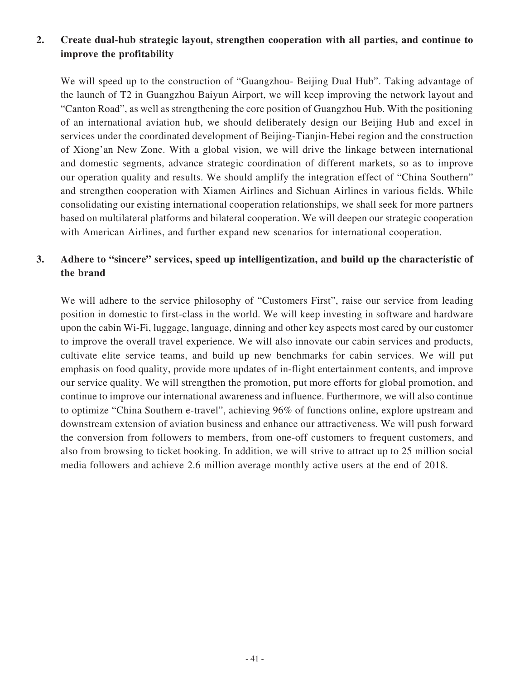# **2. Create dual-hub strategic layout, strengthen cooperation with all parties, and continue to improve the profitability**

We will speed up to the construction of "Guangzhou- Beijing Dual Hub". Taking advantage of the launch of T2 in Guangzhou Baiyun Airport, we will keep improving the network layout and "Canton Road", as well as strengthening the core position of Guangzhou Hub. With the positioning of an international aviation hub, we should deliberately design our Beijing Hub and excel in services under the coordinated development of Beijing-Tianjin-Hebei region and the construction of Xiong'an New Zone. With a global vision, we will drive the linkage between international and domestic segments, advance strategic coordination of different markets, so as to improve our operation quality and results. We should amplify the integration effect of "China Southern" and strengthen cooperation with Xiamen Airlines and Sichuan Airlines in various fields. While consolidating our existing international cooperation relationships, we shall seek for more partners based on multilateral platforms and bilateral cooperation. We will deepen our strategic cooperation with American Airlines, and further expand new scenarios for international cooperation.

# **3. Adhere to "sincere" services, speed up intelligentization, and build up the characteristic of the brand**

We will adhere to the service philosophy of "Customers First", raise our service from leading position in domestic to first-class in the world. We will keep investing in software and hardware upon the cabin Wi-Fi, luggage, language, dinning and other key aspects most cared by our customer to improve the overall travel experience. We will also innovate our cabin services and products, cultivate elite service teams, and build up new benchmarks for cabin services. We will put emphasis on food quality, provide more updates of in-flight entertainment contents, and improve our service quality. We will strengthen the promotion, put more efforts for global promotion, and continue to improve our international awareness and influence. Furthermore, we will also continue to optimize "China Southern e-travel", achieving 96% of functions online, explore upstream and downstream extension of aviation business and enhance our attractiveness. We will push forward the conversion from followers to members, from one-off customers to frequent customers, and also from browsing to ticket booking. In addition, we will strive to attract up to 25 million social media followers and achieve 2.6 million average monthly active users at the end of 2018.